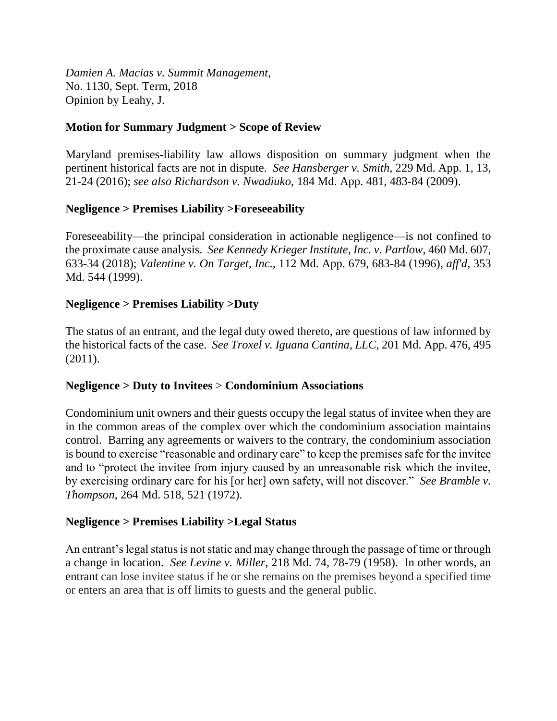*Damien A. Macias v. Summit Management,* No. 1130, Sept. Term, 2018 Opinion by Leahy, J.

# **Motion for Summary Judgment > Scope of Review**

Maryland premises-liability law allows disposition on summary judgment when the pertinent historical facts are not in dispute. *See Hansberger v. Smith*, 229 Md. App. 1, 13, 21-24 (2016); *see also Richardson v. Nwadiuko*, 184 Md. App. 481, 483-84 (2009).

# **Negligence > Premises Liability >Foreseeability**

Foreseeability—the principal consideration in actionable negligence—is not confined to the proximate cause analysis. *See Kennedy Krieger Institute, Inc. v. Partlow*, 460 Md. 607, 633-34 (2018); *Valentine v. On Target, Inc*., 112 Md. App. 679, 683-84 (1996), *aff'd*, 353 Md. 544 (1999).

# **Negligence > Premises Liability >Duty**

The status of an entrant, and the legal duty owed thereto, are questions of law informed by the historical facts of the case. *See Troxel v. Iguana Cantina, LLC*, 201 Md. App. 476, 495 (2011).

## **Negligence > Duty to Invitees** > **Condominium Associations**

Condominium unit owners and their guests occupy the legal status of invitee when they are in the common areas of the complex over which the condominium association maintains control. Barring any agreements or waivers to the contrary, the condominium association is bound to exercise "reasonable and ordinary care" to keep the premises safe for the invitee and to "protect the invitee from injury caused by an unreasonable risk which the invitee, by exercising ordinary care for his [or her] own safety, will not discover." *See Bramble v. Thompson*, 264 Md. 518, 521 (1972).

## **Negligence > Premises Liability >Legal Status**

An entrant's legal status is not static and may change through the passage of time or through a change in location. *See Levine v. Miller*, 218 Md. 74, 78-79 (1958). In other words, an entrant can lose invitee status if he or she remains on the premises beyond a specified time or enters an area that is off limits to guests and the general public.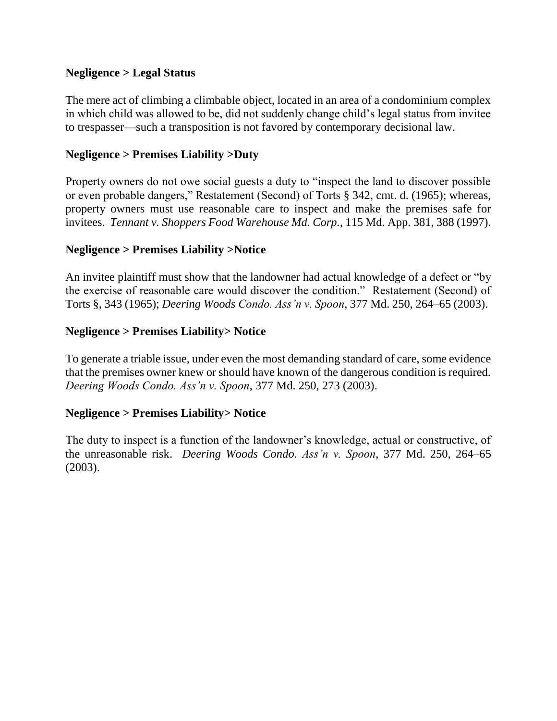# **Negligence > Legal Status**

The mere act of climbing a climbable object, located in an area of a condominium complex in which child was allowed to be, did not suddenly change child's legal status from invitee to trespasser—such a transposition is not favored by contemporary decisional law.

# **Negligence > Premises Liability >Duty**

Property owners do not owe social guests a duty to "inspect the land to discover possible or even probable dangers," Restatement (Second) of Torts § 342, cmt. d. (1965); whereas, property owners must use reasonable care to inspect and make the premises safe for invitees. *Tennant v. Shoppers Food Warehouse Md. Corp.*, 115 Md. App. 381, 388 (1997).

# **Negligence > Premises Liability >Notice**

An invitee plaintiff must show that the landowner had actual knowledge of a defect or "by the exercise of reasonable care would discover the condition." Restatement (Second) of Torts §, 343 (1965); *Deering Woods Condo. Ass'n v. Spoon*, 377 Md. 250, 264–65 (2003).

## **Negligence > Premises Liability> Notice**

To generate a triable issue, under even the most demanding standard of care, some evidence that the premises owner knew or should have known of the dangerous condition is required. *Deering Woods Condo. Ass'n v. Spoon*, 377 Md. 250, 273 (2003).

## **Negligence > Premises Liability> Notice**

The duty to inspect is a function of the landowner's knowledge, actual or constructive, of the unreasonable risk. *Deering Woods Condo. Ass'n v. Spoon*, 377 Md. 250, 264–65 (2003).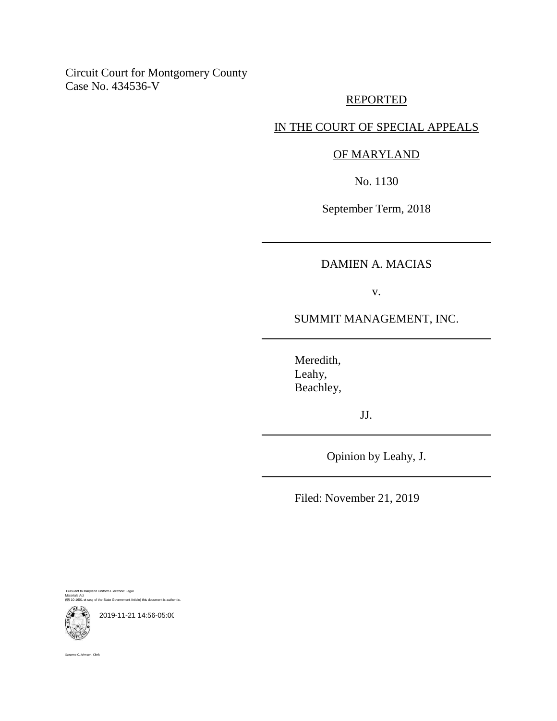Circuit Court for Montgomery County Case No. 434536-V

## REPORTED

# IN THE COURT OF SPECIAL APPEALS

### OF MARYLAND

No. 1130

September Term, 2018

# DAMIEN A. MACIAS

v.

SUMMIT MANAGEMENT, INC.

Meredith, Leahy, Beachley,

JJ.

Opinion by Leahy, J.

Filed: November 21, 2019

Pursuant to Maryland Uniform Electronic Legal Materials Act (§§ 10-1601 et seq. of the State Government Article) this document is authentic.



2019-11-21 14:56-05:00

Suzanne C. Johnson, Clerk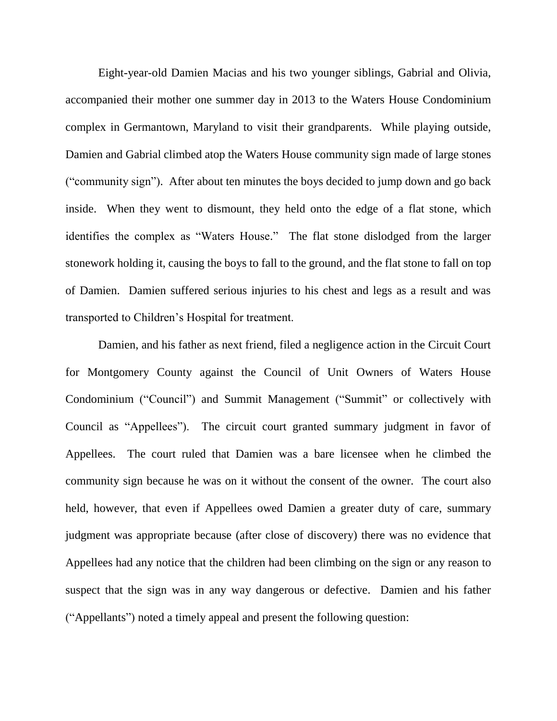Eight-year-old Damien Macias and his two younger siblings, Gabrial and Olivia, accompanied their mother one summer day in 2013 to the Waters House Condominium complex in Germantown, Maryland to visit their grandparents. While playing outside, Damien and Gabrial climbed atop the Waters House community sign made of large stones ("community sign"). After about ten minutes the boys decided to jump down and go back inside. When they went to dismount, they held onto the edge of a flat stone, which identifies the complex as "Waters House." The flat stone dislodged from the larger stonework holding it, causing the boys to fall to the ground, and the flat stone to fall on top of Damien. Damien suffered serious injuries to his chest and legs as a result and was transported to Children's Hospital for treatment.

Damien, and his father as next friend, filed a negligence action in the Circuit Court for Montgomery County against the Council of Unit Owners of Waters House Condominium ("Council") and Summit Management ("Summit" or collectively with Council as "Appellees"). The circuit court granted summary judgment in favor of Appellees. The court ruled that Damien was a bare licensee when he climbed the community sign because he was on it without the consent of the owner. The court also held, however, that even if Appellees owed Damien a greater duty of care, summary judgment was appropriate because (after close of discovery) there was no evidence that Appellees had any notice that the children had been climbing on the sign or any reason to suspect that the sign was in any way dangerous or defective. Damien and his father ("Appellants") noted a timely appeal and present the following question: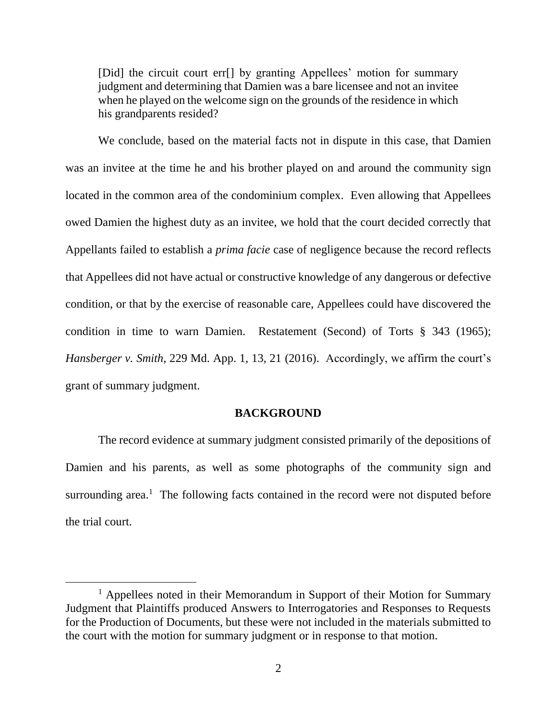[Did] the circuit court err[] by granting Appellees' motion for summary judgment and determining that Damien was a bare licensee and not an invitee when he played on the welcome sign on the grounds of the residence in which his grandparents resided?

We conclude, based on the material facts not in dispute in this case, that Damien was an invitee at the time he and his brother played on and around the community sign located in the common area of the condominium complex. Even allowing that Appellees owed Damien the highest duty as an invitee, we hold that the court decided correctly that Appellants failed to establish a *prima facie* case of negligence because the record reflects that Appellees did not have actual or constructive knowledge of any dangerous or defective condition, or that by the exercise of reasonable care, Appellees could have discovered the condition in time to warn Damien. Restatement (Second) of Torts § 343 (1965); *Hansberger v. Smith*, 229 Md. App. 1, 13, 21 (2016). Accordingly, we affirm the court's grant of summary judgment.

### **BACKGROUND**

The record evidence at summary judgment consisted primarily of the depositions of Damien and his parents, as well as some photographs of the community sign and surrounding area.<sup>1</sup> The following facts contained in the record were not disputed before the trial court.

<sup>&</sup>lt;sup>1</sup> Appellees noted in their Memorandum in Support of their Motion for Summary Judgment that Plaintiffs produced Answers to Interrogatories and Responses to Requests for the Production of Documents, but these were not included in the materials submitted to the court with the motion for summary judgment or in response to that motion.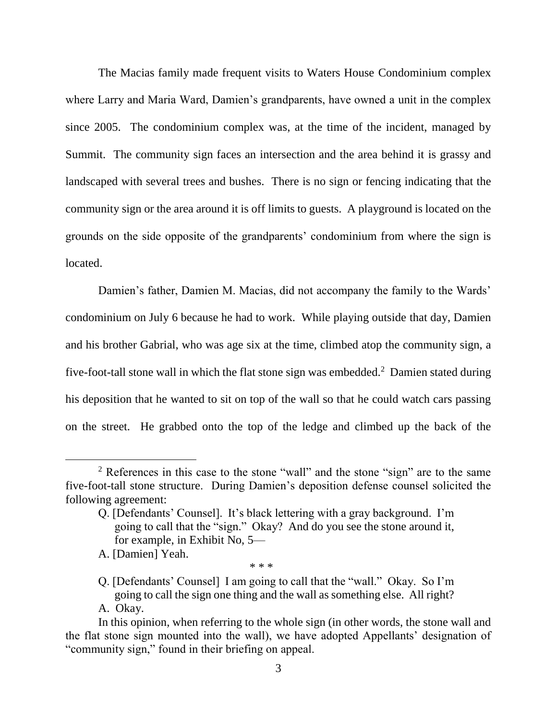The Macias family made frequent visits to Waters House Condominium complex where Larry and Maria Ward, Damien's grandparents, have owned a unit in the complex since 2005. The condominium complex was, at the time of the incident, managed by Summit. The community sign faces an intersection and the area behind it is grassy and landscaped with several trees and bushes. There is no sign or fencing indicating that the community sign or the area around it is off limits to guests. A playground is located on the grounds on the side opposite of the grandparents' condominium from where the sign is located.

Damien's father, Damien M. Macias, did not accompany the family to the Wards' condominium on July 6 because he had to work. While playing outside that day, Damien and his brother Gabrial, who was age six at the time, climbed atop the community sign, a five-foot-tall stone wall in which the flat stone sign was embedded.<sup>2</sup> Damien stated during his deposition that he wanted to sit on top of the wall so that he could watch cars passing on the street. He grabbed onto the top of the ledge and climbed up the back of the

 $\overline{a}$ 

\* \* \*

<sup>&</sup>lt;sup>2</sup> References in this case to the stone "wall" and the stone "sign" are to the same five-foot-tall stone structure. During Damien's deposition defense counsel solicited the following agreement:

Q. [Defendants' Counsel]. It's black lettering with a gray background. I'm going to call that the "sign." Okay? And do you see the stone around it, for example, in Exhibit No, 5—

A. [Damien] Yeah.

Q. [Defendants' Counsel] I am going to call that the "wall." Okay. So I'm going to call the sign one thing and the wall as something else. All right? A. Okay.

In this opinion, when referring to the whole sign (in other words, the stone wall and the flat stone sign mounted into the wall), we have adopted Appellants' designation of "community sign," found in their briefing on appeal.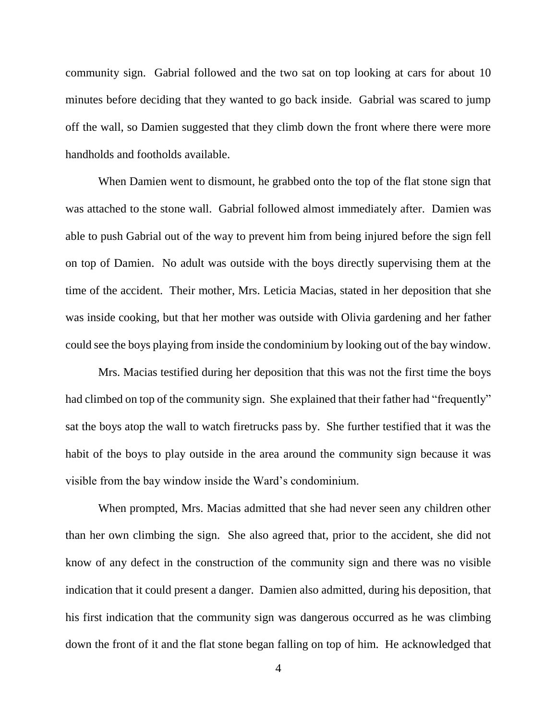community sign. Gabrial followed and the two sat on top looking at cars for about 10 minutes before deciding that they wanted to go back inside. Gabrial was scared to jump off the wall, so Damien suggested that they climb down the front where there were more handholds and footholds available.

When Damien went to dismount, he grabbed onto the top of the flat stone sign that was attached to the stone wall. Gabrial followed almost immediately after. Damien was able to push Gabrial out of the way to prevent him from being injured before the sign fell on top of Damien. No adult was outside with the boys directly supervising them at the time of the accident. Their mother, Mrs. Leticia Macias, stated in her deposition that she was inside cooking, but that her mother was outside with Olivia gardening and her father could see the boys playing from inside the condominium by looking out of the bay window.

Mrs. Macias testified during her deposition that this was not the first time the boys had climbed on top of the community sign. She explained that their father had "frequently" sat the boys atop the wall to watch firetrucks pass by. She further testified that it was the habit of the boys to play outside in the area around the community sign because it was visible from the bay window inside the Ward's condominium.

When prompted, Mrs. Macias admitted that she had never seen any children other than her own climbing the sign. She also agreed that, prior to the accident, she did not know of any defect in the construction of the community sign and there was no visible indication that it could present a danger. Damien also admitted, during his deposition, that his first indication that the community sign was dangerous occurred as he was climbing down the front of it and the flat stone began falling on top of him. He acknowledged that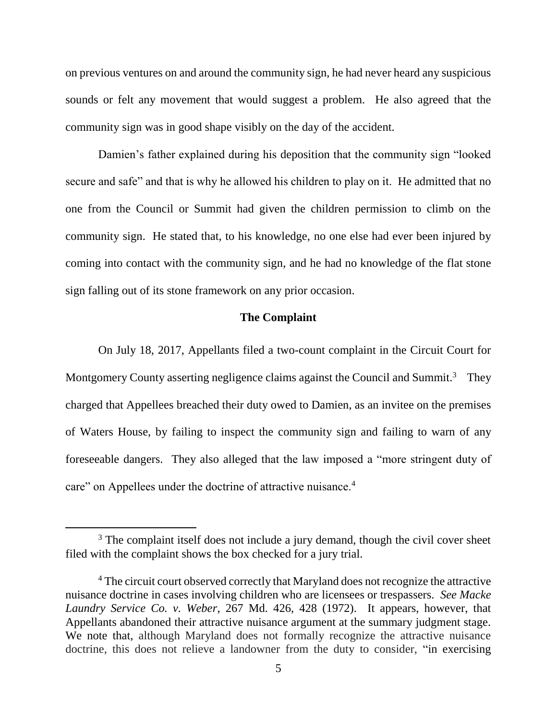on previous ventures on and around the community sign, he had never heard any suspicious sounds or felt any movement that would suggest a problem. He also agreed that the community sign was in good shape visibly on the day of the accident.

Damien's father explained during his deposition that the community sign "looked secure and safe" and that is why he allowed his children to play on it. He admitted that no one from the Council or Summit had given the children permission to climb on the community sign. He stated that, to his knowledge, no one else had ever been injured by coming into contact with the community sign, and he had no knowledge of the flat stone sign falling out of its stone framework on any prior occasion.

### **The Complaint**

On July 18, 2017, Appellants filed a two-count complaint in the Circuit Court for Montgomery County asserting negligence claims against the Council and Summit.<sup>3</sup> They charged that Appellees breached their duty owed to Damien, as an invitee on the premises of Waters House, by failing to inspect the community sign and failing to warn of any foreseeable dangers. They also alleged that the law imposed a "more stringent duty of care" on Appellees under the doctrine of attractive nuisance.<sup>4</sup>

<sup>&</sup>lt;sup>3</sup> The complaint itself does not include a jury demand, though the civil cover sheet filed with the complaint shows the box checked for a jury trial.

<sup>&</sup>lt;sup>4</sup> The circuit court observed correctly that Maryland does not recognize the attractive nuisance doctrine in cases involving children who are licensees or trespassers. *See Macke Laundry Service Co. v. Weber*, 267 Md. 426, 428 (1972). It appears, however, that Appellants abandoned their attractive nuisance argument at the summary judgment stage. We note that, although Maryland does not formally recognize the attractive nuisance doctrine, this does not relieve a landowner from the duty to consider, "in exercising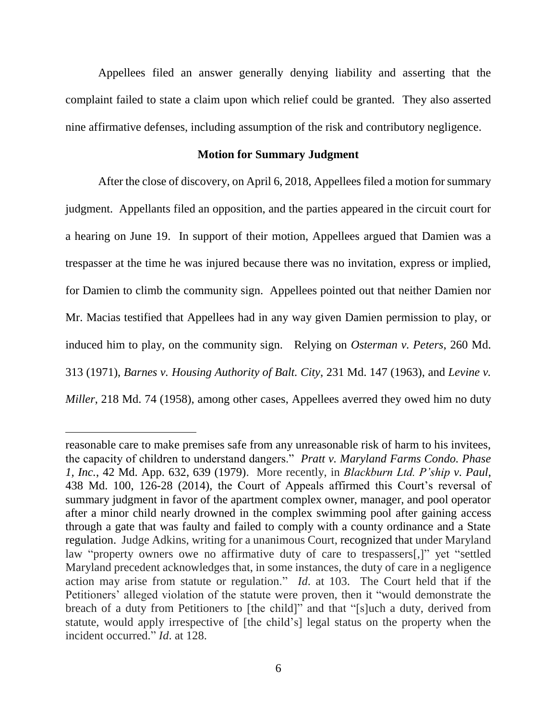Appellees filed an answer generally denying liability and asserting that the complaint failed to state a claim upon which relief could be granted.They also asserted nine affirmative defenses, including assumption of the risk and contributory negligence.

#### **Motion for Summary Judgment**

After the close of discovery, on April 6, 2018, Appellees filed a motion for summary judgment. Appellants filed an opposition, and the parties appeared in the circuit court for a hearing on June 19. In support of their motion, Appellees argued that Damien was a trespasser at the time he was injured because there was no invitation, express or implied, for Damien to climb the community sign. Appellees pointed out that neither Damien nor Mr. Macias testified that Appellees had in any way given Damien permission to play, or induced him to play, on the community sign. Relying on *Osterman v. Peters*, 260 Md. 313 (1971), *Barnes v. Housing Authority of Balt. City*, 231 Md. 147 (1963), and *Levine v. Miller*, 218 Md. 74 (1958), among other cases, Appellees averred they owed him no duty

reasonable care to make premises safe from any unreasonable risk of harm to his invitees, the capacity of children to understand dangers." *Pratt v. Maryland Farms Condo. Phase 1, Inc.*, 42 Md. App. 632, 639 (1979). More recently, in *Blackburn Ltd. P'ship v. Paul*, 438 Md. 100, 126-28 (2014), the Court of Appeals affirmed this Court's reversal of summary judgment in favor of the apartment complex owner, manager, and pool operator after a minor child nearly drowned in the complex swimming pool after gaining access through a gate that was faulty and failed to comply with a county ordinance and a State regulation. Judge Adkins, writing for a unanimous Court, recognized that under Maryland law "property owners owe no affirmative duty of care to trespassers[,]" yet "settled Maryland precedent acknowledges that, in some instances, the duty of care in a negligence action may arise from statute or regulation." *Id*. at 103. The Court held that if the Petitioners' alleged violation of the statute were proven, then it "would demonstrate the breach of a duty from Petitioners to [the child]" and that "[s]uch a duty, derived from statute, would apply irrespective of [the child's] legal status on the property when the incident occurred." *Id*. at 128.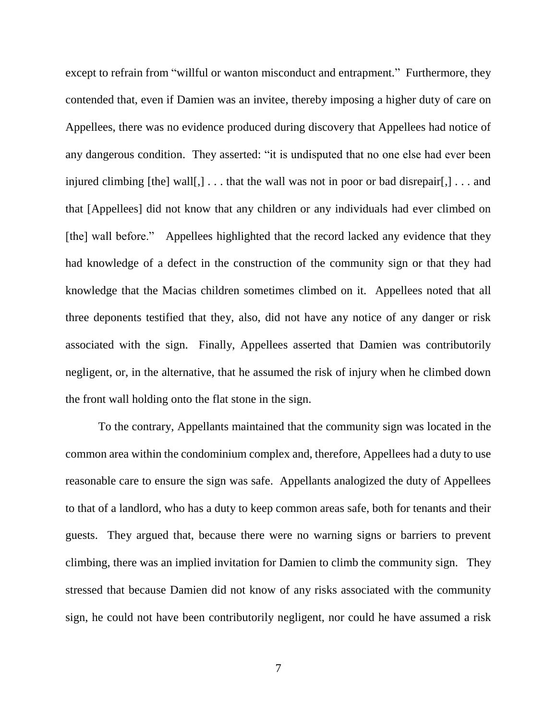except to refrain from "willful or wanton misconduct and entrapment." Furthermore, they contended that, even if Damien was an invitee, thereby imposing a higher duty of care on Appellees, there was no evidence produced during discovery that Appellees had notice of any dangerous condition. They asserted: "it is undisputed that no one else had ever been injured climbing  $[the]$  wall $[,]$ ... that the wall was not in poor or bad disrepair $[,]$ ... and that [Appellees] did not know that any children or any individuals had ever climbed on [the] wall before." Appellees highlighted that the record lacked any evidence that they had knowledge of a defect in the construction of the community sign or that they had knowledge that the Macias children sometimes climbed on it. Appellees noted that all three deponents testified that they, also, did not have any notice of any danger or risk associated with the sign. Finally, Appellees asserted that Damien was contributorily negligent, or, in the alternative, that he assumed the risk of injury when he climbed down the front wall holding onto the flat stone in the sign.

To the contrary, Appellants maintained that the community sign was located in the common area within the condominium complex and, therefore, Appellees had a duty to use reasonable care to ensure the sign was safe. Appellants analogized the duty of Appellees to that of a landlord, who has a duty to keep common areas safe, both for tenants and their guests. They argued that, because there were no warning signs or barriers to prevent climbing, there was an implied invitation for Damien to climb the community sign. They stressed that because Damien did not know of any risks associated with the community sign, he could not have been contributorily negligent, nor could he have assumed a risk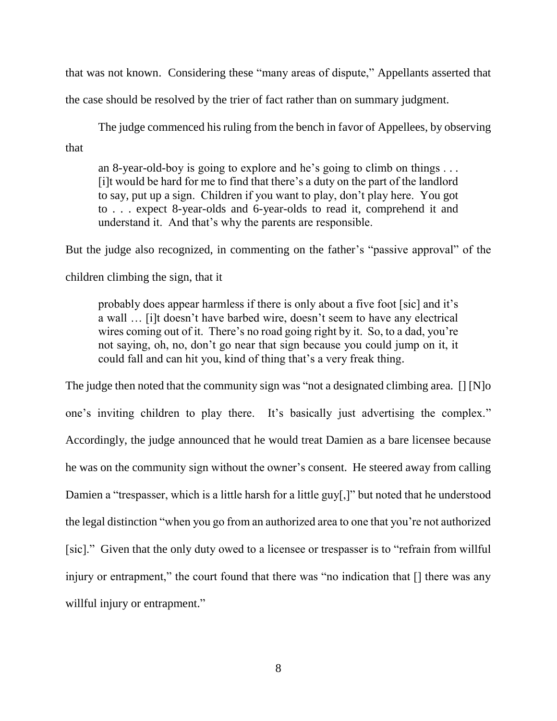that was not known. Considering these "many areas of dispute," Appellants asserted that the case should be resolved by the trier of fact rather than on summary judgment.

The judge commenced his ruling from the bench in favor of Appellees, by observing that

an 8-year-old-boy is going to explore and he's going to climb on things . . . [i]t would be hard for me to find that there's a duty on the part of the landlord to say, put up a sign. Children if you want to play, don't play here. You got to . . . expect 8-year-olds and 6-year-olds to read it, comprehend it and understand it. And that's why the parents are responsible.

But the judge also recognized, in commenting on the father's "passive approval" of the

children climbing the sign, that it

probably does appear harmless if there is only about a five foot [sic] and it's a wall … [i]t doesn't have barbed wire, doesn't seem to have any electrical wires coming out of it. There's no road going right by it. So, to a dad, you're not saying, oh, no, don't go near that sign because you could jump on it, it could fall and can hit you, kind of thing that's a very freak thing.

The judge then noted that the community sign was "not a designated climbing area. [] [N]o one's inviting children to play there. It's basically just advertising the complex." Accordingly, the judge announced that he would treat Damien as a bare licensee because he was on the community sign without the owner's consent. He steered away from calling Damien a "trespasser, which is a little harsh for a little guy[,]" but noted that he understood the legal distinction "when you go from an authorized area to one that you're not authorized [sic]." Given that the only duty owed to a licensee or trespasser is to "refrain from willful injury or entrapment," the court found that there was "no indication that  $\lceil \cdot \rceil$  there was any willful injury or entrapment."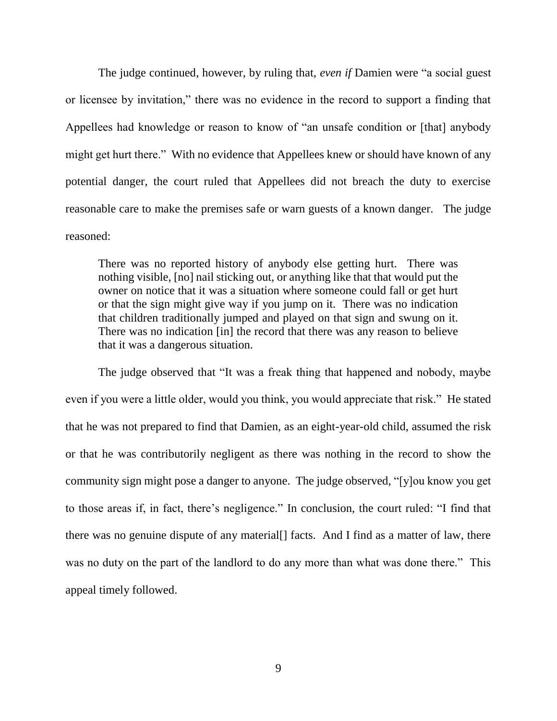The judge continued, however, by ruling that, *even if* Damien were "a social guest or licensee by invitation," there was no evidence in the record to support a finding that Appellees had knowledge or reason to know of "an unsafe condition or [that] anybody might get hurt there." With no evidence that Appellees knew or should have known of any potential danger, the court ruled that Appellees did not breach the duty to exercise reasonable care to make the premises safe or warn guests of a known danger. The judge reasoned:

There was no reported history of anybody else getting hurt. There was nothing visible, [no] nail sticking out, or anything like that that would put the owner on notice that it was a situation where someone could fall or get hurt or that the sign might give way if you jump on it. There was no indication that children traditionally jumped and played on that sign and swung on it. There was no indication [in] the record that there was any reason to believe that it was a dangerous situation.

The judge observed that "It was a freak thing that happened and nobody, maybe even if you were a little older, would you think, you would appreciate that risk." He stated that he was not prepared to find that Damien, as an eight-year-old child, assumed the risk or that he was contributorily negligent as there was nothing in the record to show the community sign might pose a danger to anyone. The judge observed, "[y]ou know you get to those areas if, in fact, there's negligence." In conclusion, the court ruled: "I find that there was no genuine dispute of any material[] facts. And I find as a matter of law, there was no duty on the part of the landlord to do any more than what was done there." This appeal timely followed.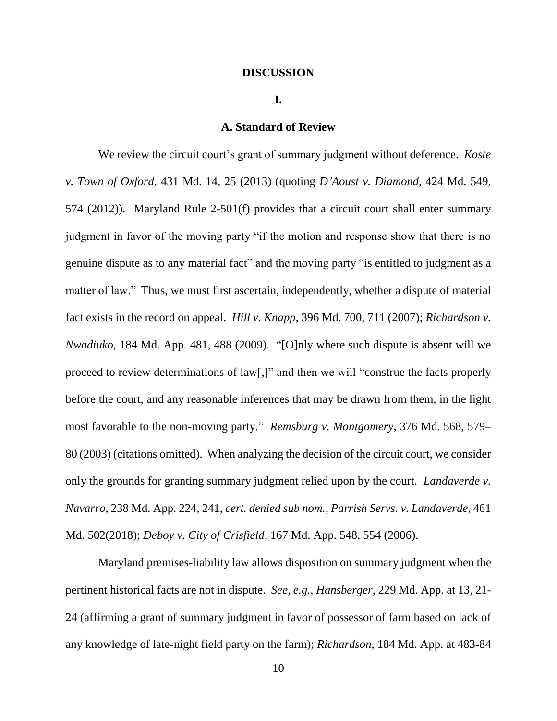#### **DISCUSSION**

#### **I.**

### **A. Standard of Review**

We review the circuit court's grant of summary judgment without deference. *Koste v. Town of Oxford*, 431 Md. 14, 25 (2013) (quoting *D'Aoust v. Diamond*, 424 Md. 549, 574 (2012)). Maryland Rule 2-501(f) provides that a circuit court shall enter summary judgment in favor of the moving party "if the motion and response show that there is no genuine dispute as to any material fact" and the moving party "is entitled to judgment as a matter of law." Thus, we must first ascertain, independently, whether a dispute of material fact exists in the record on appeal. *Hill v. Knapp*, 396 Md. 700, 711 (2007); *Richardson v. Nwadiuko*, 184 Md. App. 481, 488 (2009). "[O]nly where such dispute is absent will we proceed to review determinations of law[,]" and then we will "construe the facts properly before the court, and any reasonable inferences that may be drawn from them, in the light most favorable to the non-moving party." *Remsburg v. Montgomery*, 376 Md. 568, 579– 80 (2003) (citations omitted). When analyzing the decision of the circuit court, we consider only the grounds for granting summary judgment relied upon by the court. *Landaverde v. Navarro*, 238 Md. App. 224, 241, *cert. denied sub nom., Parrish Servs. v. Landaverde*, 461 Md. 502(2018); *Deboy v. City of Crisfield*, 167 Md. App. 548, 554 (2006).

Maryland premises-liability law allows disposition on summary judgment when the pertinent historical facts are not in dispute. *See, e.g.*, *Hansberger*, 229 Md. App. at 13, 21- 24 (affirming a grant of summary judgment in favor of possessor of farm based on lack of any knowledge of late-night field party on the farm); *Richardson*, 184 Md. App. at 483-84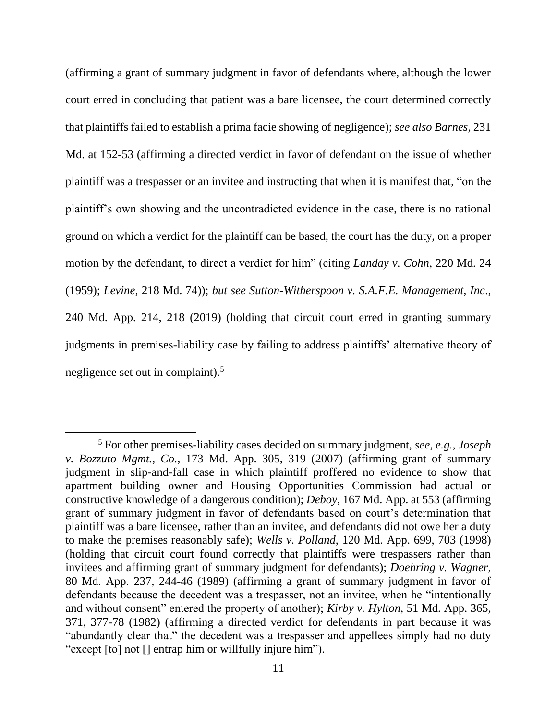(affirming a grant of summary judgment in favor of defendants where, although the lower court erred in concluding that patient was a bare licensee, the court determined correctly that plaintiffs failed to establish a prima facie showing of negligence); *see also Barnes*, 231 Md. at 152-53 (affirming a directed verdict in favor of defendant on the issue of whether plaintiff was a trespasser or an invitee and instructing that when it is manifest that, "on the plaintiff's own showing and the uncontradicted evidence in the case, there is no rational ground on which a verdict for the plaintiff can be based, the court has the duty, on a proper motion by the defendant, to direct a verdict for him" (citing *Landay v. Cohn*, 220 Md. 24 (1959); *Levine*, 218 Md. 74)); *but see Sutton-Witherspoon v. S.A.F.E. Management, Inc*., 240 Md. App. 214, 218 (2019) (holding that circuit court erred in granting summary judgments in premises-liability case by failing to address plaintiffs' alternative theory of negligence set out in complaint).<sup>5</sup>

<sup>5</sup> For other premises-liability cases decided on summary judgment, *see, e.g.*, *Joseph v. Bozzuto Mgmt., Co.,* 173 Md. App. 305, 319 (2007) (affirming grant of summary judgment in slip-and-fall case in which plaintiff proffered no evidence to show that apartment building owner and Housing Opportunities Commission had actual or constructive knowledge of a dangerous condition); *Deboy*, 167 Md. App. at 553 (affirming grant of summary judgment in favor of defendants based on court's determination that plaintiff was a bare licensee, rather than an invitee, and defendants did not owe her a duty to make the premises reasonably safe); *Wells v. Polland*, 120 Md. App. 699, 703 (1998) (holding that circuit court found correctly that plaintiffs were trespassers rather than invitees and affirming grant of summary judgment for defendants); *Doehring v. Wagner*, 80 Md. App. 237, 244-46 (1989) (affirming a grant of summary judgment in favor of defendants because the decedent was a trespasser, not an invitee, when he "intentionally and without consent" entered the property of another); *Kirby v. Hylton*, 51 Md. App. 365, 371, 377-78 (1982) (affirming a directed verdict for defendants in part because it was "abundantly clear that" the decedent was a trespasser and appellees simply had no duty "except [to] not [] entrap him or willfully injure him").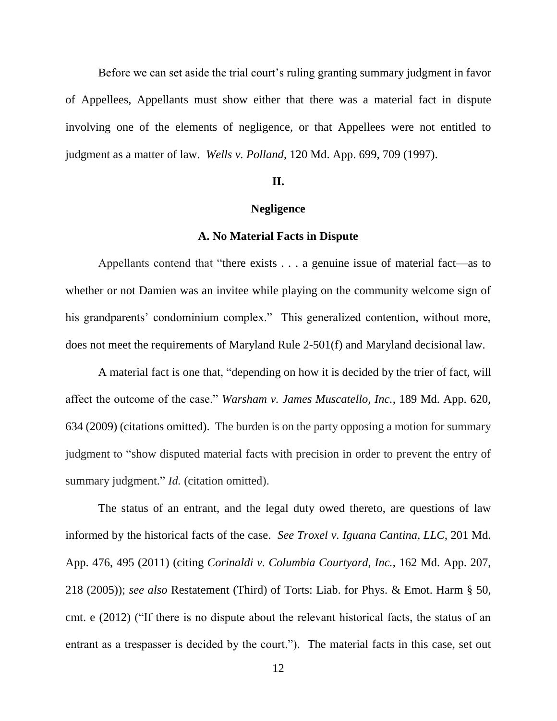Before we can set aside the trial court's ruling granting summary judgment in favor of Appellees, Appellants must show either that there was a material fact in dispute involving one of the elements of negligence, or that Appellees were not entitled to judgment as a matter of law. *Wells v. Polland*, 120 Md. App. 699, 709 (1997).

### **II.**

#### **Negligence**

### **A. No Material Facts in Dispute**

Appellants contend that "there exists . . . a genuine issue of material fact—as to whether or not Damien was an invitee while playing on the community welcome sign of his grandparents' condominium complex." This generalized contention, without more, does not meet the requirements of Maryland Rule 2-501(f) and Maryland decisional law.

A material fact is one that, "depending on how it is decided by the trier of fact, will affect the outcome of the case." *Warsham v. James Muscatello, Inc.*, 189 Md. App. 620, 634 (2009) (citations omitted). The burden is on the party opposing a motion for summary judgment to "show disputed material facts with precision in order to prevent the entry of summary judgment." *Id.* (citation omitted).

The status of an entrant, and the legal duty owed thereto, are questions of law informed by the historical facts of the case. *See Troxel v. Iguana Cantina, LLC*, 201 Md. App. 476, 495 (2011) (citing *Corinaldi v. Columbia Courtyard, Inc.*, 162 Md. App. 207, 218 (2005)); *see also* Restatement (Third) of Torts: Liab. for Phys. & Emot. Harm § 50, cmt. e (2012) ("If there is no dispute about the relevant historical facts, the status of an entrant as a trespasser is decided by the court."). The material facts in this case, set out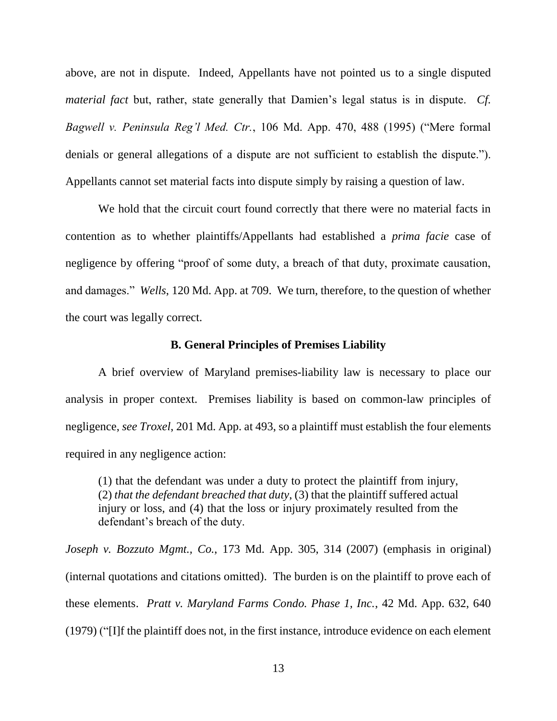above, are not in dispute. Indeed, Appellants have not pointed us to a single disputed *material fact* but, rather, state generally that Damien's legal status is in dispute. *Cf. Bagwell v. Peninsula Reg'l Med. Ctr.*, 106 Md. App. 470, 488 (1995) ("Mere formal denials or general allegations of a dispute are not sufficient to establish the dispute."). Appellants cannot set material facts into dispute simply by raising a question of law.

We hold that the circuit court found correctly that there were no material facts in contention as to whether plaintiffs/Appellants had established a *prima facie* case of negligence by offering "proof of some duty, a breach of that duty, proximate causation, and damages." *Wells*, 120 Md. App. at 709. We turn, therefore, to the question of whether the court was legally correct.

### **B. General Principles of Premises Liability**

A brief overview of Maryland premises-liability law is necessary to place our analysis in proper context. Premises liability is based on common-law principles of negligence, *see Troxel*, 201 Md. App. at 493, so a plaintiff must establish the four elements required in any negligence action:

(1) that the defendant was under a duty to protect the plaintiff from injury, (2) *that the defendant breached that duty*, (3) that the plaintiff suffered actual injury or loss, and (4) that the loss or injury proximately resulted from the defendant's breach of the duty.

*Joseph v. Bozzuto Mgmt., Co.*, 173 Md. App. 305, 314 (2007) (emphasis in original) (internal quotations and citations omitted). The burden is on the plaintiff to prove each of these elements. *Pratt v. Maryland Farms Condo. Phase 1, Inc.*, 42 Md. App. 632, 640 (1979) ("[I]f the plaintiff does not, in the first instance, introduce evidence on each element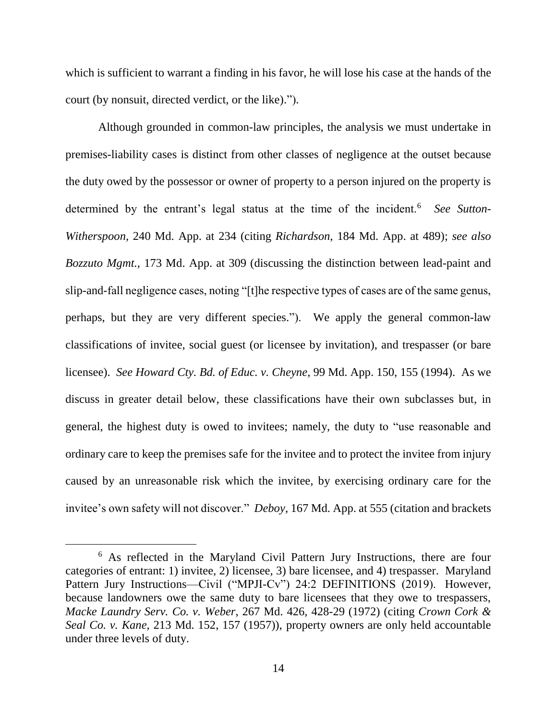which is sufficient to warrant a finding in his favor, he will lose his case at the hands of the court (by nonsuit, directed verdict, or the like).").

Although grounded in common-law principles, the analysis we must undertake in premises-liability cases is distinct from other classes of negligence at the outset because the duty owed by the possessor or owner of property to a person injured on the property is determined by the entrant's legal status at the time of the incident.<sup>6</sup> See Sutton-*Witherspoon,* 240 Md. App. at 234 (citing *Richardson*, 184 Md. App. at 489); *see also Bozzuto Mgmt.,* 173 Md. App. at 309 (discussing the distinction between lead-paint and slip-and-fall negligence cases, noting "[t]he respective types of cases are of the same genus, perhaps, but they are very different species."). We apply the general common-law classifications of invitee, social guest (or licensee by invitation), and trespasser (or bare licensee). *See Howard Cty. Bd. of Educ. v. Cheyne*, 99 Md. App. 150, 155 (1994). As we discuss in greater detail below, these classifications have their own subclasses but, in general, the highest duty is owed to invitees; namely, the duty to "use reasonable and ordinary care to keep the premises safe for the invitee and to protect the invitee from injury caused by an unreasonable risk which the invitee, by exercising ordinary care for the invitee's own safety will not discover." *Deboy*, 167 Md. App. at 555 (citation and brackets

<sup>6</sup> As reflected in the Maryland Civil Pattern Jury Instructions, there are four categories of entrant: 1) invitee, 2) licensee, 3) bare licensee, and 4) trespasser. Maryland Pattern Jury Instructions—Civil ("MPJI-Cv") 24:2 DEFINITIONS (2019). However, because landowners owe the same duty to bare licensees that they owe to trespassers, *Macke Laundry Serv. Co. v. Weber*, 267 Md. 426, 428-29 (1972) (citing *Crown Cork & Seal Co. v. Kane*, 213 Md. 152, 157 (1957)), property owners are only held accountable under three levels of duty.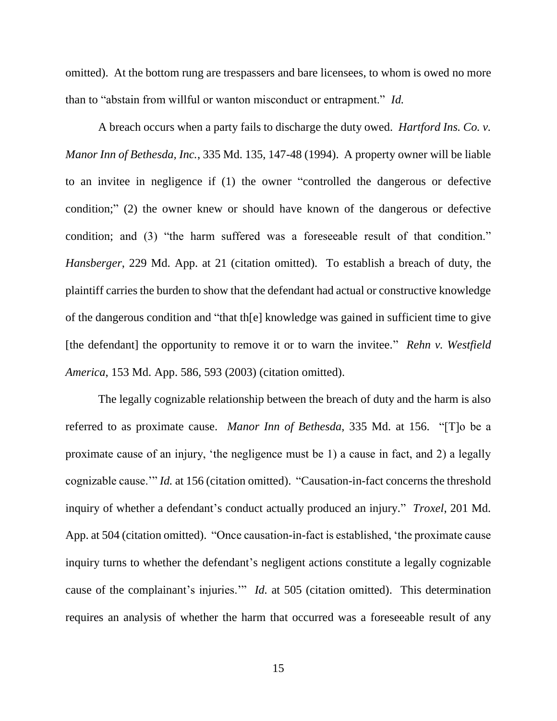omitted). At the bottom rung are trespassers and bare licensees, to whom is owed no more than to "abstain from willful or wanton misconduct or entrapment." *Id.*

A breach occurs when a party fails to discharge the duty owed. *Hartford Ins. Co. v. Manor Inn of Bethesda, Inc.*, 335 Md. 135, 147-48 (1994). A property owner will be liable to an invitee in negligence if (1) the owner "controlled the dangerous or defective condition;" (2) the owner knew or should have known of the dangerous or defective condition; and (3) "the harm suffered was a foreseeable result of that condition." *Hansberger*, 229 Md. App. at 21 (citation omitted). To establish a breach of duty, the plaintiff carries the burden to show that the defendant had actual or constructive knowledge of the dangerous condition and "that th[e] knowledge was gained in sufficient time to give [the defendant] the opportunity to remove it or to warn the invitee." *Rehn v. Westfield America*, 153 Md. App. 586, 593 (2003) (citation omitted).

The legally cognizable relationship between the breach of duty and the harm is also referred to as proximate cause. *Manor Inn of Bethesda*, 335 Md. at 156. "[T]o be a proximate cause of an injury, 'the negligence must be 1) a cause in fact, and 2) a legally cognizable cause.'" *Id.* at 156 (citation omitted). "Causation-in-fact concerns the threshold inquiry of whether a defendant's conduct actually produced an injury." *Troxel*, 201 Md. App. at 504 (citation omitted). "Once causation-in-fact is established, 'the proximate cause inquiry turns to whether the defendant's negligent actions constitute a legally cognizable cause of the complainant's injuries.'" *Id.* at 505 (citation omitted). This determination requires an analysis of whether the harm that occurred was a foreseeable result of any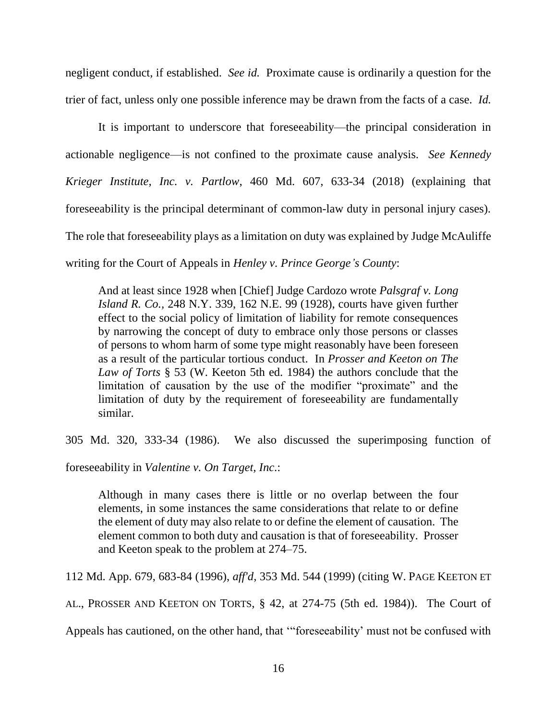negligent conduct, if established. *See id.* Proximate cause is ordinarily a question for the trier of fact, unless only one possible inference may be drawn from the facts of a case. *Id.*

It is important to underscore that foreseeability—the principal consideration in actionable negligence—is not confined to the proximate cause analysis. *See Kennedy Krieger Institute, Inc. v. Partlow*, 460 Md. 607, 633-34 (2018) (explaining that foreseeability is the principal determinant of common-law duty in personal injury cases). The role that foreseeability plays as a limitation on duty was explained by Judge McAuliffe writing for the Court of Appeals in *Henley v. Prince George's County*:

And at least since 1928 when [Chief] Judge Cardozo wrote *Palsgraf v. Long Island R. Co.,* 248 N.Y. 339, 162 N.E. 99 (1928), courts have given further effect to the social policy of limitation of liability for remote consequences by narrowing the concept of duty to embrace only those persons or classes of persons to whom harm of some type might reasonably have been foreseen as a result of the particular tortious conduct. In *Prosser and Keeton on The Law of Torts* § 53 (W. Keeton 5th ed. 1984) the authors conclude that the limitation of causation by the use of the modifier "proximate" and the limitation of duty by the requirement of foreseeability are fundamentally similar.

305 Md. 320, 333-34 (1986). We also discussed the superimposing function of

foreseeability in *Valentine v. On Target, Inc*.:

Although in many cases there is little or no overlap between the four elements, in some instances the same considerations that relate to or define the element of duty may also relate to or define the element of causation. The element common to both duty and causation is that of foreseeability. Prosser and Keeton speak to the problem at 274–75.

112 Md. App. 679, 683-84 (1996), *aff'd*, 353 Md. 544 (1999) (citing W. PAGE KEETON ET

AL., PROSSER AND KEETON ON TORTS, § 42, at 274-75 (5th ed. 1984)). The Court of

Appeals has cautioned, on the other hand, that '"foreseeability' must not be confused with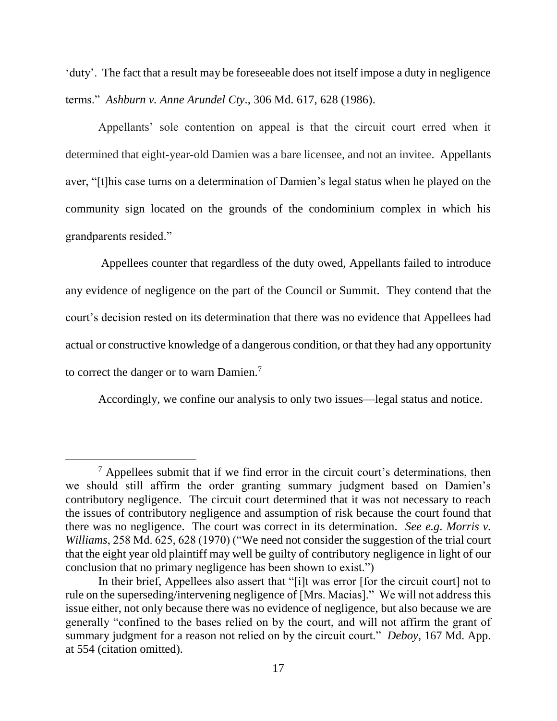'duty'. The fact that a result may be foreseeable does not itself impose a duty in negligence terms." *Ashburn v. Anne Arundel Cty*., 306 Md. 617, 628 (1986).

Appellants' sole contention on appeal is that the circuit court erred when it determined that eight-year-old Damien was a bare licensee, and not an invitee. Appellants aver, "[t]his case turns on a determination of Damien's legal status when he played on the community sign located on the grounds of the condominium complex in which his grandparents resided."

Appellees counter that regardless of the duty owed, Appellants failed to introduce any evidence of negligence on the part of the Council or Summit. They contend that the court's decision rested on its determination that there was no evidence that Appellees had actual or constructive knowledge of a dangerous condition, or that they had any opportunity to correct the danger or to warn Damien.<sup>7</sup>

Accordingly, we confine our analysis to only two issues—legal status and notice.

 $<sup>7</sup>$  Appellees submit that if we find error in the circuit court's determinations, then</sup> we should still affirm the order granting summary judgment based on Damien's contributory negligence. The circuit court determined that it was not necessary to reach the issues of contributory negligence and assumption of risk because the court found that there was no negligence. The court was correct in its determination. *See e.g*. *Morris v. Williams*, 258 Md. 625, 628 (1970) ("We need not consider the suggestion of the trial court that the eight year old plaintiff may well be guilty of contributory negligence in light of our conclusion that no primary negligence has been shown to exist.")

In their brief, Appellees also assert that "[i]t was error [for the circuit court] not to rule on the superseding/intervening negligence of [Mrs. Macias]." We will not address this issue either, not only because there was no evidence of negligence, but also because we are generally "confined to the bases relied on by the court, and will not affirm the grant of summary judgment for a reason not relied on by the circuit court." *Deboy*, 167 Md. App. at 554 (citation omitted).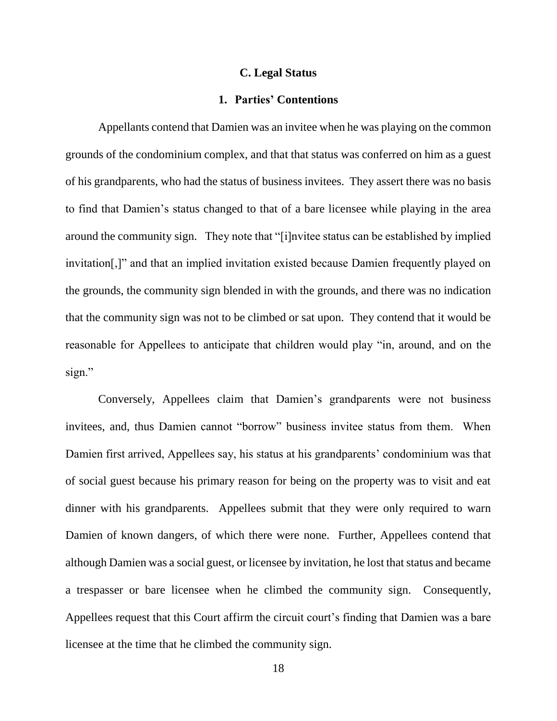#### **C. Legal Status**

### **1. Parties' Contentions**

Appellants contend that Damien was an invitee when he was playing on the common grounds of the condominium complex, and that that status was conferred on him as a guest of his grandparents, who had the status of business invitees. They assert there was no basis to find that Damien's status changed to that of a bare licensee while playing in the area around the community sign. They note that "[i]nvitee status can be established by implied invitation[,]" and that an implied invitation existed because Damien frequently played on the grounds, the community sign blended in with the grounds, and there was no indication that the community sign was not to be climbed or sat upon. They contend that it would be reasonable for Appellees to anticipate that children would play "in, around, and on the sign."

Conversely, Appellees claim that Damien's grandparents were not business invitees, and, thus Damien cannot "borrow" business invitee status from them. When Damien first arrived, Appellees say, his status at his grandparents' condominium was that of social guest because his primary reason for being on the property was to visit and eat dinner with his grandparents. Appellees submit that they were only required to warn Damien of known dangers, of which there were none. Further, Appellees contend that although Damien was a social guest, or licensee by invitation, he lost that status and became a trespasser or bare licensee when he climbed the community sign. Consequently, Appellees request that this Court affirm the circuit court's finding that Damien was a bare licensee at the time that he climbed the community sign.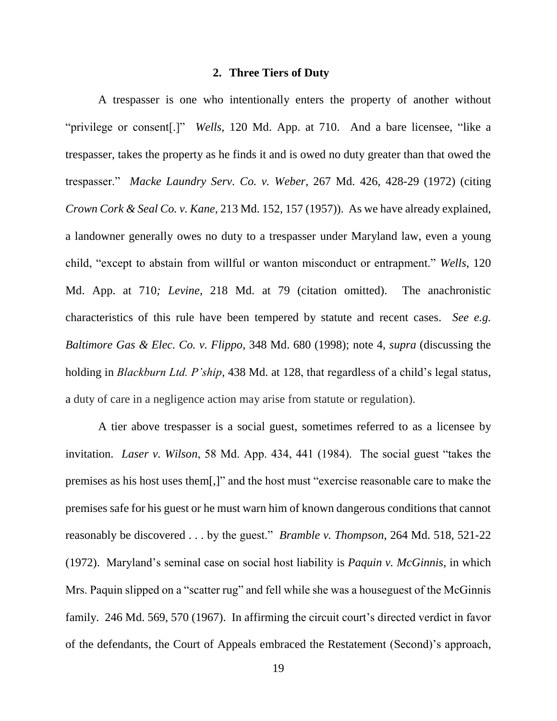### **2. Three Tiers of Duty**

A trespasser is one who intentionally enters the property of another without "privilege or consent[.]" *Wells*, 120 Md. App. at 710. And a bare licensee, "like a trespasser, takes the property as he finds it and is owed no duty greater than that owed the trespasser." *Macke Laundry Serv. Co. v. Weber*, 267 Md. 426, 428-29 (1972) (citing *Crown Cork & Seal Co. v. Kane*, 213 Md. 152, 157 (1957)). As we have already explained, a landowner generally owes no duty to a trespasser under Maryland law, even a young child, "except to abstain from willful or wanton misconduct or entrapment." *Wells*, 120 Md. App. at 710*; Levine*, 218 Md. at 79 (citation omitted). The anachronistic characteristics of this rule have been tempered by statute and recent cases. *See e.g. Baltimore Gas & Elec. Co. v. Flippo*, 348 Md. 680 (1998); note 4, *supra* (discussing the holding in *Blackburn Ltd. P'ship*, 438 Md. at 128, that regardless of a child's legal status, a duty of care in a negligence action may arise from statute or regulation).

A tier above trespasser is a social guest, sometimes referred to as a licensee by invitation. *Laser v. Wilson*, 58 Md. App. 434, 441 (1984). The social guest "takes the premises as his host uses them[,]" and the host must "exercise reasonable care to make the premises safe for his guest or he must warn him of known dangerous conditions that cannot reasonably be discovered . . . by the guest." *Bramble v. Thompson*, 264 Md. 518, 521-22 (1972). Maryland's seminal case on social host liability is *Paquin v. McGinnis*, in which Mrs. Paquin slipped on a "scatter rug" and fell while she was a houseguest of the McGinnis family. 246 Md. 569, 570 (1967). In affirming the circuit court's directed verdict in favor of the defendants, the Court of Appeals embraced the Restatement (Second)'s approach,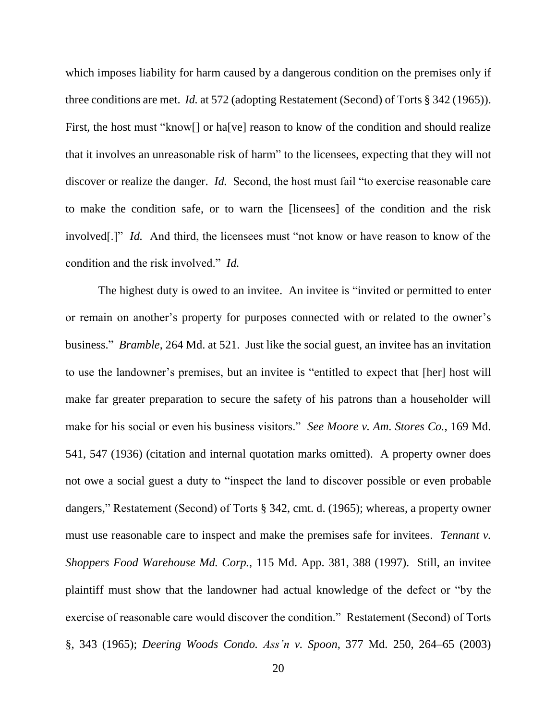which imposes liability for harm caused by a dangerous condition on the premises only if three conditions are met. *Id.* at 572 (adopting Restatement (Second) of Torts § 342 (1965)). First, the host must "know[] or ha[ve] reason to know of the condition and should realize that it involves an unreasonable risk of harm" to the licensees, expecting that they will not discover or realize the danger. *Id.* Second, the host must fail "to exercise reasonable care to make the condition safe, or to warn the [licensees] of the condition and the risk involved[.]" *Id.* And third, the licensees must "not know or have reason to know of the condition and the risk involved." *Id.*

The highest duty is owed to an invitee. An invitee is "invited or permitted to enter or remain on another's property for purposes connected with or related to the owner's business." *Bramble*, 264 Md. at 521. Just like the social guest, an invitee has an invitation to use the landowner's premises, but an invitee is "entitled to expect that [her] host will make far greater preparation to secure the safety of his patrons than a householder will make for his social or even his business visitors." *See Moore v. Am. Stores Co.*, 169 Md. 541, 547 (1936) (citation and internal quotation marks omitted). A property owner does not owe a social guest a duty to "inspect the land to discover possible or even probable dangers," Restatement (Second) of Torts § 342, cmt. d. (1965); whereas, a property owner must use reasonable care to inspect and make the premises safe for invitees. *Tennant v*. *Shoppers Food Warehouse Md. Corp.*, 115 Md. App. 381, 388 (1997). Still, an invitee plaintiff must show that the landowner had actual knowledge of the defect or "by the exercise of reasonable care would discover the condition." Restatement (Second) of Torts §, 343 (1965); *Deering Woods Condo. Ass'n v. Spoon*, 377 Md. 250, 264–65 (2003)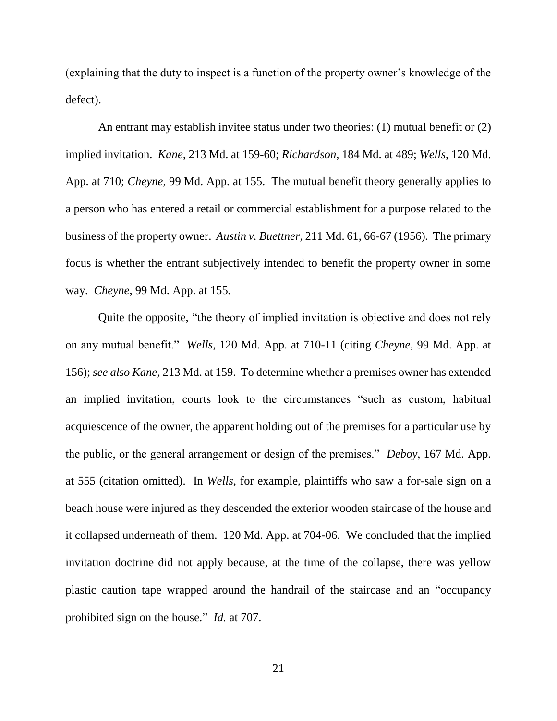(explaining that the duty to inspect is a function of the property owner's knowledge of the defect).

An entrant may establish invitee status under two theories: (1) mutual benefit or (2) implied invitation. *Kane*, 213 Md. at 159-60; *Richardson*, 184 Md. at 489; *Wells*, 120 Md. App. at 710; *Cheyne*, 99 Md. App. at 155. The mutual benefit theory generally applies to a person who has entered a retail or commercial establishment for a purpose related to the business of the property owner. *Austin v. Buettner*, 211 Md. 61, 66-67 (1956)*.* The primary focus is whether the entrant subjectively intended to benefit the property owner in some way. *Cheyne*, 99 Md. App. at 155*.*

Quite the opposite, "the theory of implied invitation is objective and does not rely on any mutual benefit." *Wells*, 120 Md. App. at 710-11 (citing *Cheyne*, 99 Md. App. at 156); *see also Kane*, 213 Md. at 159. To determine whether a premises owner has extended an implied invitation, courts look to the circumstances "such as custom, habitual acquiescence of the owner, the apparent holding out of the premises for a particular use by the public, or the general arrangement or design of the premises." *Deboy*, 167 Md. App. at 555 (citation omitted). In *Wells*, for example, plaintiffs who saw a for-sale sign on a beach house were injured as they descended the exterior wooden staircase of the house and it collapsed underneath of them. 120 Md. App. at 704-06. We concluded that the implied invitation doctrine did not apply because, at the time of the collapse, there was yellow plastic caution tape wrapped around the handrail of the staircase and an "occupancy prohibited sign on the house." *Id.* at 707.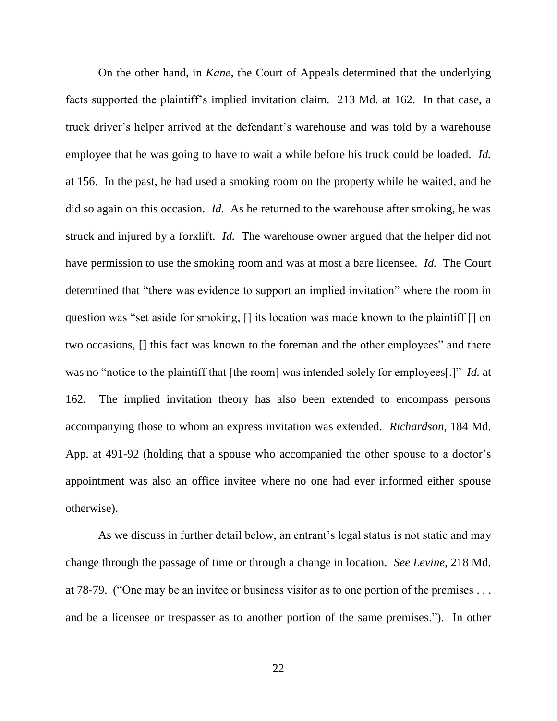On the other hand, in *Kane*, the Court of Appeals determined that the underlying facts supported the plaintiff's implied invitation claim. 213 Md. at 162. In that case, a truck driver's helper arrived at the defendant's warehouse and was told by a warehouse employee that he was going to have to wait a while before his truck could be loaded. *Id.* at 156. In the past, he had used a smoking room on the property while he waited, and he did so again on this occasion. *Id.* As he returned to the warehouse after smoking, he was struck and injured by a forklift. *Id.* The warehouse owner argued that the helper did not have permission to use the smoking room and was at most a bare licensee. *Id.* The Court determined that "there was evidence to support an implied invitation" where the room in question was "set aside for smoking, [] its location was made known to the plaintiff [] on two occasions, [] this fact was known to the foreman and the other employees" and there was no "notice to the plaintiff that [the room] was intended solely for employees[.]" *Id.* at 162. The implied invitation theory has also been extended to encompass persons accompanying those to whom an express invitation was extended. *Richardson*, 184 Md. App. at 491-92 (holding that a spouse who accompanied the other spouse to a doctor's appointment was also an office invitee where no one had ever informed either spouse otherwise).

As we discuss in further detail below, an entrant's legal status is not static and may change through the passage of time or through a change in location. *See Levine*, 218 Md. at 78-79. ("One may be an invitee or business visitor as to one portion of the premises . . . and be a licensee or trespasser as to another portion of the same premises."). In other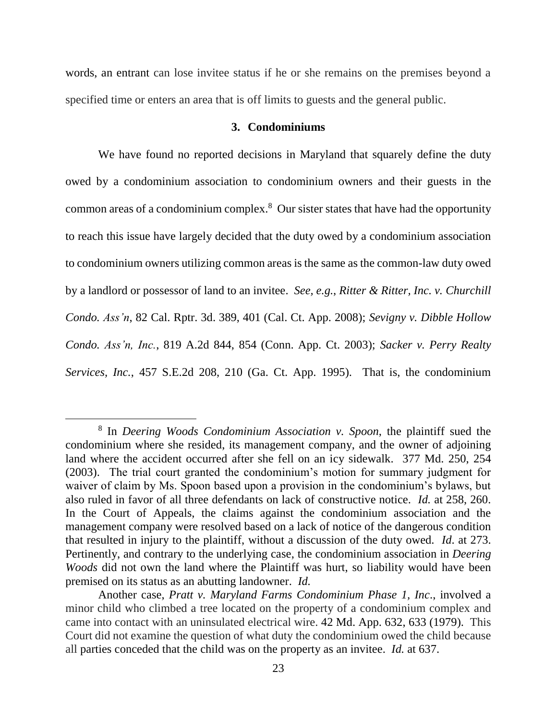words, an entrant can lose invitee status if he or she remains on the premises beyond a specified time or enters an area that is off limits to guests and the general public.

### **3. Condominiums**

We have found no reported decisions in Maryland that squarely define the duty owed by a condominium association to condominium owners and their guests in the common areas of a condominium complex. 8 Our sister states that have had the opportunity to reach this issue have largely decided that the duty owed by a condominium association to condominium owners utilizing common areas is the same as the common-law duty owed by a landlord or possessor of land to an invitee. *See, e.g.*, *Ritter & Ritter, Inc. v. Churchill Condo. Ass'n*, 82 Cal. Rptr. 3d. 389, 401 (Cal. Ct. App. 2008); *Sevigny v. Dibble Hollow Condo. Ass'n, Inc.*, 819 A.2d 844, 854 (Conn. App. Ct. 2003); *Sacker v. Perry Realty Services, Inc.*, 457 S.E.2d 208, 210 (Ga. Ct. App. 1995). That is, the condominium

<sup>8</sup> In *Deering Woods Condominium Association v. Spoon*, the plaintiff sued the condominium where she resided, its management company, and the owner of adjoining land where the accident occurred after she fell on an icy sidewalk. 377 Md. 250, 254 (2003). The trial court granted the condominium's motion for summary judgment for waiver of claim by Ms. Spoon based upon a provision in the condominium's bylaws, but also ruled in favor of all three defendants on lack of constructive notice. *Id.* at 258, 260. In the Court of Appeals, the claims against the condominium association and the management company were resolved based on a lack of notice of the dangerous condition that resulted in injury to the plaintiff, without a discussion of the duty owed. *Id*. at 273. Pertinently, and contrary to the underlying case, the condominium association in *Deering Woods* did not own the land where the Plaintiff was hurt, so liability would have been premised on its status as an abutting landowner. *Id.* 

Another case, *Pratt v. Maryland Farms Condominium Phase 1, Inc*., involved a minor child who climbed a tree located on the property of a condominium complex and came into contact with an uninsulated electrical wire. 42 Md. App. 632, 633 (1979). This Court did not examine the question of what duty the condominium owed the child because all parties conceded that the child was on the property as an invitee. *Id.* at 637.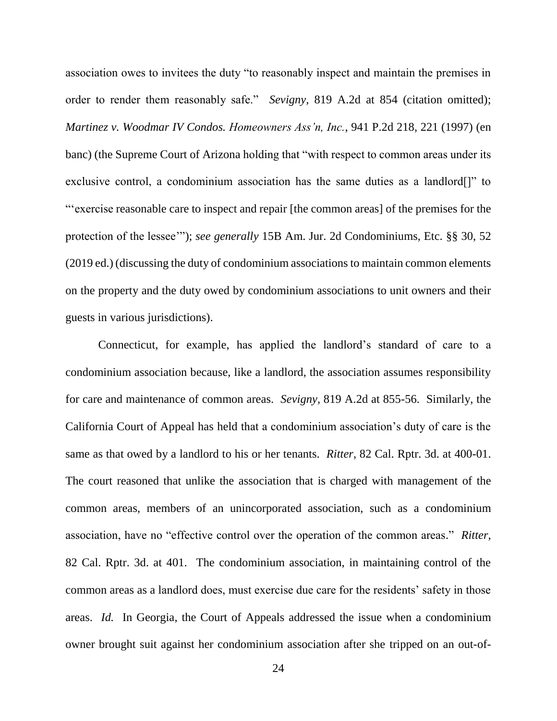association owes to invitees the duty "to reasonably inspect and maintain the premises in order to render them reasonably safe." *Sevigny*, 819 A.2d at 854 (citation omitted); *Martinez v. Woodmar IV Condos. Homeowners Ass'n, Inc.*, 941 P.2d 218, 221 (1997) (en banc) (the Supreme Court of Arizona holding that "with respect to common areas under its exclusive control, a condominium association has the same duties as a landlord[]" to "'exercise reasonable care to inspect and repair [the common areas] of the premises for the protection of the lessee'"); *see generally* 15B Am. Jur. 2d Condominiums, Etc. §§ 30, 52 (2019 ed.) (discussing the duty of condominium associations to maintain common elements on the property and the duty owed by condominium associations to unit owners and their guests in various jurisdictions).

Connecticut, for example, has applied the landlord's standard of care to a condominium association because, like a landlord, the association assumes responsibility for care and maintenance of common areas. *Sevigny*, 819 A.2d at 855-56. Similarly, the California Court of Appeal has held that a condominium association's duty of care is the same as that owed by a landlord to his or her tenants. *Ritter*, 82 Cal. Rptr. 3d. at 400-01. The court reasoned that unlike the association that is charged with management of the common areas, members of an unincorporated association, such as a condominium association, have no "effective control over the operation of the common areas." *Ritter*, 82 Cal. Rptr. 3d. at 401. The condominium association, in maintaining control of the common areas as a landlord does, must exercise due care for the residents' safety in those areas. *Id.* In Georgia, the Court of Appeals addressed the issue when a condominium owner brought suit against her condominium association after she tripped on an out-of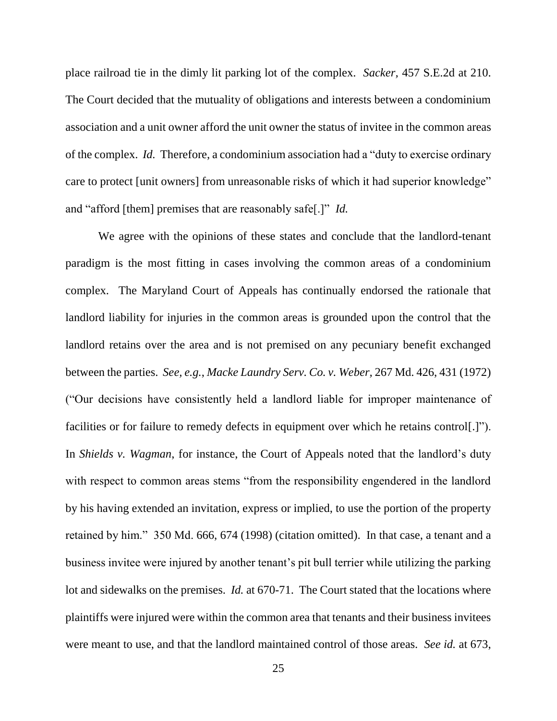place railroad tie in the dimly lit parking lot of the complex. *Sacker,* 457 S.E.2d at 210. The Court decided that the mutuality of obligations and interests between a condominium association and a unit owner afford the unit owner the status of invitee in the common areas of the complex. *Id.* Therefore, a condominium association had a "duty to exercise ordinary care to protect [unit owners] from unreasonable risks of which it had superior knowledge" and "afford [them] premises that are reasonably safe[.]" *Id.*

We agree with the opinions of these states and conclude that the landlord-tenant paradigm is the most fitting in cases involving the common areas of a condominium complex. The Maryland Court of Appeals has continually endorsed the rationale that landlord liability for injuries in the common areas is grounded upon the control that the landlord retains over the area and is not premised on any pecuniary benefit exchanged between the parties. *See, e.g.*, *Macke Laundry Serv. Co. v. Weber,* 267 Md. 426, 431 (1972) ("Our decisions have consistently held a landlord liable for improper maintenance of facilities or for failure to remedy defects in equipment over which he retains control[.]"). In *Shields v. Wagman*, for instance, the Court of Appeals noted that the landlord's duty with respect to common areas stems "from the responsibility engendered in the landlord by his having extended an invitation, express or implied, to use the portion of the property retained by him." 350 Md. 666, 674 (1998) (citation omitted). In that case, a tenant and a business invitee were injured by another tenant's pit bull terrier while utilizing the parking lot and sidewalks on the premises. *Id.* at 670-71. The Court stated that the locations where plaintiffs were injured were within the common area that tenants and their business invitees were meant to use, and that the landlord maintained control of those areas. *See id.* at 673,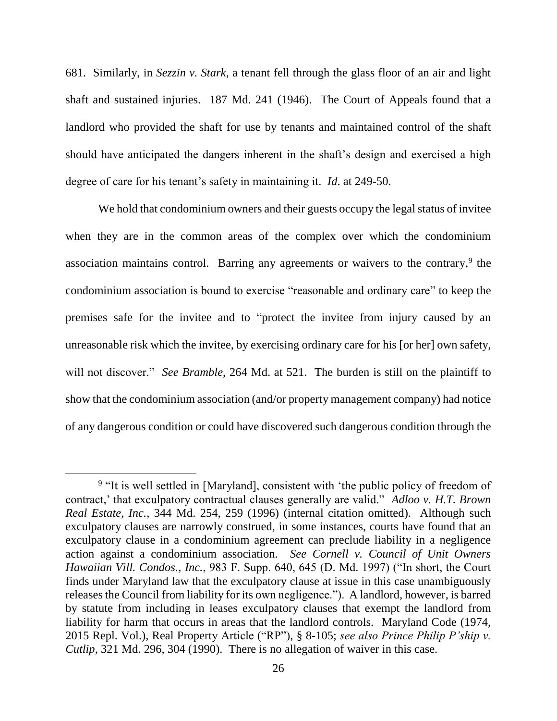681. Similarly, in *Sezzin v. Stark*, a tenant fell through the glass floor of an air and light shaft and sustained injuries. 187 Md. 241 (1946). The Court of Appeals found that a landlord who provided the shaft for use by tenants and maintained control of the shaft should have anticipated the dangers inherent in the shaft's design and exercised a high degree of care for his tenant's safety in maintaining it. *Id*. at 249-50.

We hold that condominium owners and their guests occupy the legal status of invitee when they are in the common areas of the complex over which the condominium association maintains control. Barring any agreements or waivers to the contrary,<sup>9</sup> the condominium association is bound to exercise "reasonable and ordinary care" to keep the premises safe for the invitee and to "protect the invitee from injury caused by an unreasonable risk which the invitee, by exercising ordinary care for his [or her] own safety, will not discover." *See Bramble*, 264 Md. at 521. The burden is still on the plaintiff to show that the condominium association (and/or property management company) had notice of any dangerous condition or could have discovered such dangerous condition through the

<sup>&</sup>lt;sup>9</sup> "It is well settled in [Maryland], consistent with 'the public policy of freedom of contract,' that exculpatory contractual clauses generally are valid." *Adloo v. H.T. Brown Real Estate, Inc.*, 344 Md. 254, 259 (1996) (internal citation omitted). Although such exculpatory clauses are narrowly construed, in some instances, courts have found that an exculpatory clause in a condominium agreement can preclude liability in a negligence action against a condominium association. *See Cornell v. Council of Unit Owners Hawaiian Vill. Condos., Inc.*, 983 F. Supp. 640, 645 (D. Md. 1997) ("In short, the Court finds under Maryland law that the exculpatory clause at issue in this case unambiguously releases the Council from liability for its own negligence."). A landlord, however, is barred by statute from including in leases exculpatory clauses that exempt the landlord from liability for harm that occurs in areas that the landlord controls. Maryland Code (1974, 2015 Repl. Vol.), Real Property Article ("RP"), § 8-105; *see also Prince Philip P'ship v. Cutlip*, 321 Md. 296, 304 (1990). There is no allegation of waiver in this case.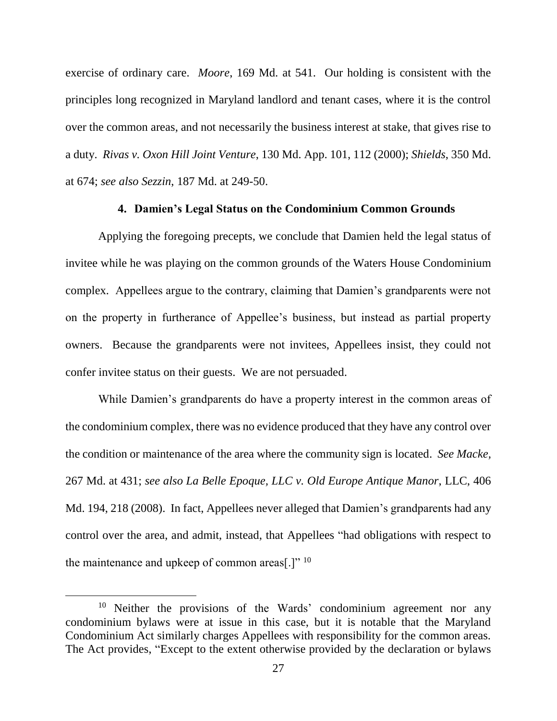exercise of ordinary care. *Moore*, 169 Md. at 541. Our holding is consistent with the principles long recognized in Maryland landlord and tenant cases, where it is the control over the common areas, and not necessarily the business interest at stake, that gives rise to a duty. *Rivas v. Oxon Hill Joint Venture*, 130 Md. App. 101, 112 (2000); *Shields*, 350 Md. at 674; *see also Sezzin*, 187 Md. at 249-50.

### **4. Damien's Legal Status on the Condominium Common Grounds**

Applying the foregoing precepts, we conclude that Damien held the legal status of invitee while he was playing on the common grounds of the Waters House Condominium complex. Appellees argue to the contrary, claiming that Damien's grandparents were not on the property in furtherance of Appellee's business, but instead as partial property owners. Because the grandparents were not invitees, Appellees insist, they could not confer invitee status on their guests. We are not persuaded.

While Damien's grandparents do have a property interest in the common areas of the condominium complex, there was no evidence produced that they have any control over the condition or maintenance of the area where the community sign is located. *See Macke,* 267 Md. at 431; *see also La Belle Epoque, LLC v. Old Europe Antique Manor*, LLC, 406 Md. 194, 218 (2008). In fact, Appellees never alleged that Damien's grandparents had any control over the area, and admit, instead, that Appellees "had obligations with respect to the maintenance and upkeep of common areas[.]"  $10$ 

<sup>&</sup>lt;sup>10</sup> Neither the provisions of the Wards' condominium agreement nor any condominium bylaws were at issue in this case, but it is notable that the Maryland Condominium Act similarly charges Appellees with responsibility for the common areas. The Act provides, "Except to the extent otherwise provided by the declaration or bylaws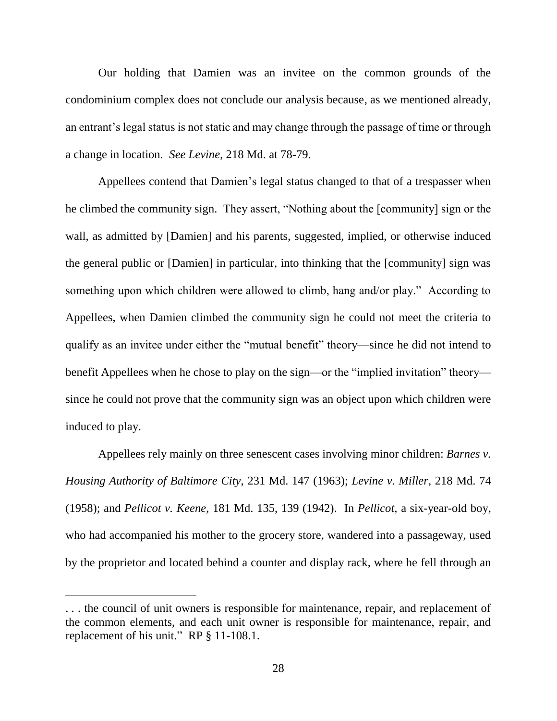Our holding that Damien was an invitee on the common grounds of the condominium complex does not conclude our analysis because, as we mentioned already, an entrant's legal status is not static and may change through the passage of time or through a change in location. *See Levine*, 218 Md. at 78-79.

Appellees contend that Damien's legal status changed to that of a trespasser when he climbed the community sign. They assert, "Nothing about the [community] sign or the wall, as admitted by [Damien] and his parents, suggested, implied, or otherwise induced the general public or [Damien] in particular, into thinking that the [community] sign was something upon which children were allowed to climb, hang and/or play." According to Appellees, when Damien climbed the community sign he could not meet the criteria to qualify as an invitee under either the "mutual benefit" theory—since he did not intend to benefit Appellees when he chose to play on the sign—or the "implied invitation" theory since he could not prove that the community sign was an object upon which children were induced to play.

Appellees rely mainly on three senescent cases involving minor children: *Barnes v. Housing Authority of Baltimore City*, 231 Md. 147 (1963); *Levine v. Miller*, 218 Md. 74 (1958); and *Pellicot v. Keene*, 181 Md. 135, 139 (1942). In *Pellicot*, a six-year-old boy, who had accompanied his mother to the grocery store, wandered into a passageway, used by the proprietor and located behind a counter and display rack, where he fell through an

<sup>.</sup> . . the council of unit owners is responsible for maintenance, repair, and replacement of the common elements, and each unit owner is responsible for maintenance, repair, and replacement of his unit." RP § 11-108.1.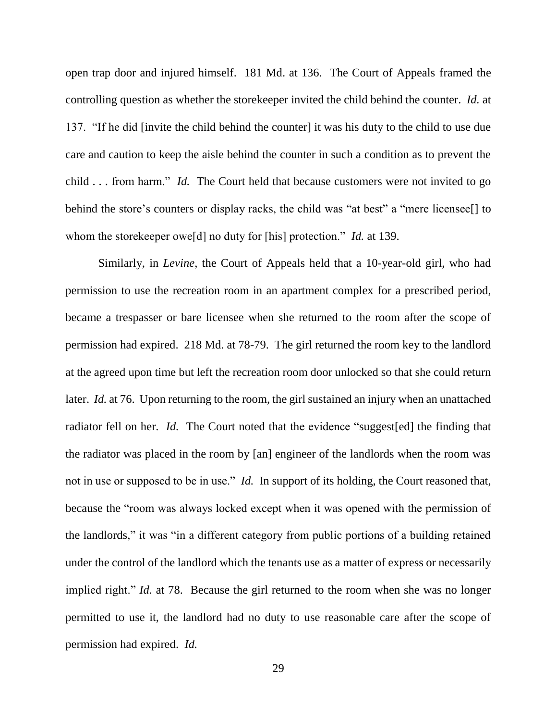open trap door and injured himself. 181 Md. at 136. The Court of Appeals framed the controlling question as whether the storekeeper invited the child behind the counter. *Id.* at 137. "If he did [invite the child behind the counter] it was his duty to the child to use due care and caution to keep the aisle behind the counter in such a condition as to prevent the child . . . from harm." *Id.* The Court held that because customers were not invited to go behind the store's counters or display racks, the child was "at best" a "mere licensee[] to whom the storekeeper owe[d] no duty for [his] protection." *Id.* at 139.

Similarly, in *Levine*, the Court of Appeals held that a 10-year-old girl, who had permission to use the recreation room in an apartment complex for a prescribed period, became a trespasser or bare licensee when she returned to the room after the scope of permission had expired. 218 Md. at 78-79. The girl returned the room key to the landlord at the agreed upon time but left the recreation room door unlocked so that she could return later. *Id.* at 76. Upon returning to the room, the girl sustained an injury when an unattached radiator fell on her. *Id.* The Court noted that the evidence "suggest [ed] the finding that the radiator was placed in the room by [an] engineer of the landlords when the room was not in use or supposed to be in use." *Id.* In support of its holding, the Court reasoned that, because the "room was always locked except when it was opened with the permission of the landlords," it was "in a different category from public portions of a building retained under the control of the landlord which the tenants use as a matter of express or necessarily implied right." *Id.* at 78. Because the girl returned to the room when she was no longer permitted to use it, the landlord had no duty to use reasonable care after the scope of permission had expired. *Id.*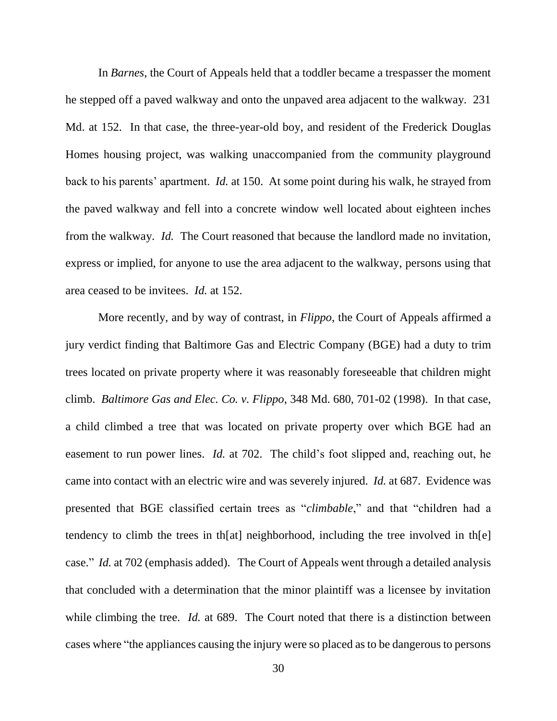In *Barnes*, the Court of Appeals held that a toddler became a trespasser the moment he stepped off a paved walkway and onto the unpaved area adjacent to the walkway. 231 Md. at 152. In that case, the three-year-old boy, and resident of the Frederick Douglas Homes housing project, was walking unaccompanied from the community playground back to his parents' apartment. *Id.* at 150. At some point during his walk, he strayed from the paved walkway and fell into a concrete window well located about eighteen inches from the walkway. *Id.* The Court reasoned that because the landlord made no invitation, express or implied, for anyone to use the area adjacent to the walkway, persons using that area ceased to be invitees. *Id.* at 152.

More recently, and by way of contrast, in *Flippo*, the Court of Appeals affirmed a jury verdict finding that Baltimore Gas and Electric Company (BGE) had a duty to trim trees located on private property where it was reasonably foreseeable that children might climb. *Baltimore Gas and Elec. Co. v. Flippo*, 348 Md. 680, 701-02 (1998). In that case, a child climbed a tree that was located on private property over which BGE had an easement to run power lines. *Id.* at 702. The child's foot slipped and, reaching out, he came into contact with an electric wire and was severely injured. *Id.* at 687. Evidence was presented that BGE classified certain trees as "*climbable*," and that "children had a tendency to climb the trees in th[at] neighborhood, including the tree involved in th[e] case." *Id.* at 702 (emphasis added). The Court of Appeals went through a detailed analysis that concluded with a determination that the minor plaintiff was a licensee by invitation while climbing the tree. *Id.* at 689. The Court noted that there is a distinction between cases where "the appliances causing the injury were so placed as to be dangerous to persons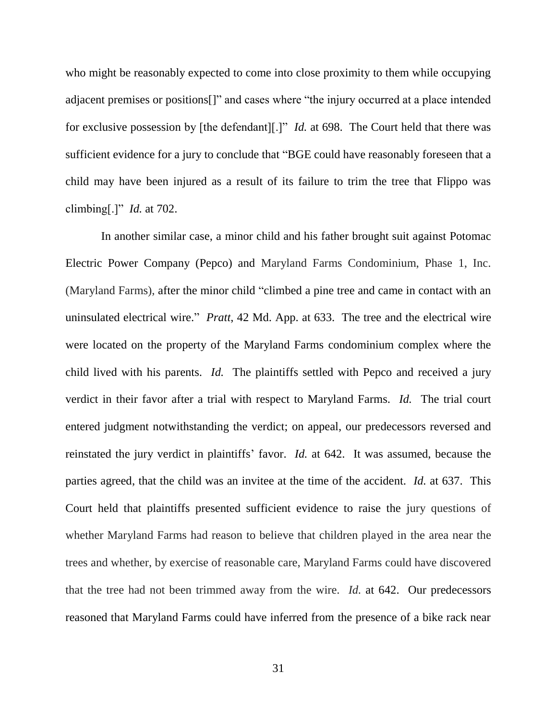who might be reasonably expected to come into close proximity to them while occupying adjacent premises or positions[]" and cases where "the injury occurred at a place intended for exclusive possession by [the defendant][.]" *Id.* at 698. The Court held that there was sufficient evidence for a jury to conclude that "BGE could have reasonably foreseen that a child may have been injured as a result of its failure to trim the tree that Flippo was climbing[.]" *Id.* at 702.

In another similar case, a minor child and his father brought suit against Potomac Electric Power Company (Pepco) and Maryland Farms Condominium, Phase 1, Inc. (Maryland Farms), after the minor child "climbed a pine tree and came in contact with an uninsulated electrical wire." *Pratt*, 42 Md. App. at 633. The tree and the electrical wire were located on the property of the Maryland Farms condominium complex where the child lived with his parents. *Id.* The plaintiffs settled with Pepco and received a jury verdict in their favor after a trial with respect to Maryland Farms. *Id.* The trial court entered judgment notwithstanding the verdict; on appeal, our predecessors reversed and reinstated the jury verdict in plaintiffs' favor. *Id.* at 642. It was assumed, because the parties agreed, that the child was an invitee at the time of the accident. *Id.* at 637. This Court held that plaintiffs presented sufficient evidence to raise the jury questions of whether Maryland Farms had reason to believe that children played in the area near the trees and whether, by exercise of reasonable care, Maryland Farms could have discovered that the tree had not been trimmed away from the wire. *Id.* at 642. Our predecessors reasoned that Maryland Farms could have inferred from the presence of a bike rack near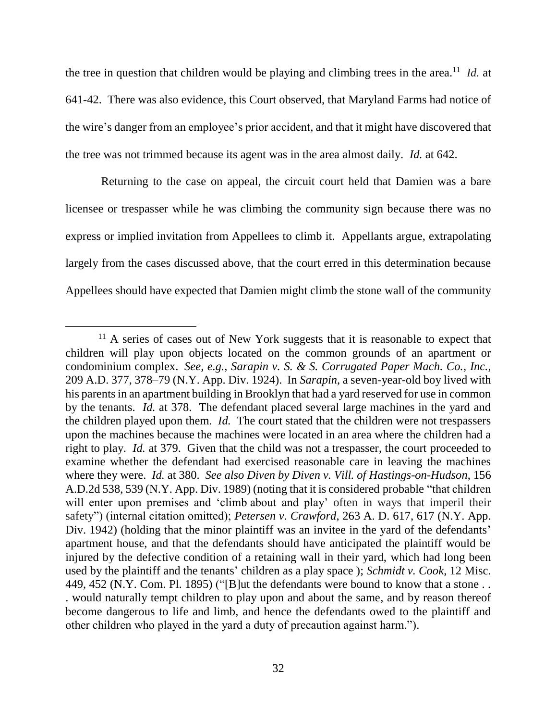the tree in question that children would be playing and climbing trees in the area.<sup>11</sup> *Id.* at 641-42. There was also evidence, this Court observed, that Maryland Farms had notice of the wire's danger from an employee's prior accident, and that it might have discovered that the tree was not trimmed because its agent was in the area almost daily. *Id.* at 642.

Returning to the case on appeal, the circuit court held that Damien was a bare licensee or trespasser while he was climbing the community sign because there was no express or implied invitation from Appellees to climb it. Appellants argue, extrapolating largely from the cases discussed above, that the court erred in this determination because Appellees should have expected that Damien might climb the stone wall of the community

 $11$  A series of cases out of New York suggests that it is reasonable to expect that children will play upon objects located on the common grounds of an apartment or condominium complex. *See, e.g.*, *Sarapin v. S. & S. Corrugated Paper Mach. Co., Inc.*, 209 A.D. 377, 378–79 (N.Y. App. Div. 1924). In *Sarapin*, a seven-year-old boy lived with his parents in an apartment building in Brooklyn that had a yard reserved for use in common by the tenants. *Id.* at 378. The defendant placed several large machines in the yard and the children played upon them. *Id.* The court stated that the children were not trespassers upon the machines because the machines were located in an area where the children had a right to play. *Id.* at 379. Given that the child was not a trespasser, the court proceeded to examine whether the defendant had exercised reasonable care in leaving the machines where they were. *Id.* at 380. *See also Diven by Diven v. Vill. of Hastings-on-Hudson*, 156 A.D.2d 538, 539 (N.Y. App. Div. 1989) (noting that it is considered probable "that children will enter upon premises and 'climb about and play' often in ways that imperil their safety") (internal citation omitted); *Petersen v. Crawford*, 263 A. D. 617, 617 (N.Y. App. Div. 1942) (holding that the minor plaintiff was an invitee in the yard of the defendants' apartment house, and that the defendants should have anticipated the plaintiff would be injured by the defective condition of a retaining wall in their yard, which had long been used by the plaintiff and the tenants' children as a play space ); *Schmidt v. Cook*, 12 Misc. 449, 452 (N.Y. Com. Pl. 1895) ("[B]ut the defendants were bound to know that a stone . . . would naturally tempt children to play upon and about the same, and by reason thereof become dangerous to life and limb, and hence the defendants owed to the plaintiff and other children who played in the yard a duty of precaution against harm.").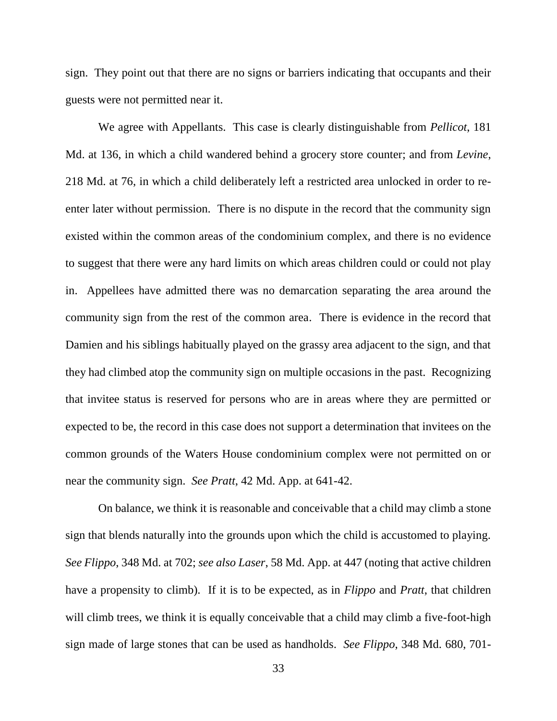sign. They point out that there are no signs or barriers indicating that occupants and their guests were not permitted near it.

We agree with Appellants. This case is clearly distinguishable from *Pellicot*, 181 Md. at 136, in which a child wandered behind a grocery store counter; and from *Levine*, 218 Md. at 76, in which a child deliberately left a restricted area unlocked in order to reenter later without permission. There is no dispute in the record that the community sign existed within the common areas of the condominium complex, and there is no evidence to suggest that there were any hard limits on which areas children could or could not play in. Appellees have admitted there was no demarcation separating the area around the community sign from the rest of the common area. There is evidence in the record that Damien and his siblings habitually played on the grassy area adjacent to the sign, and that they had climbed atop the community sign on multiple occasions in the past. Recognizing that invitee status is reserved for persons who are in areas where they are permitted or expected to be, the record in this case does not support a determination that invitees on the common grounds of the Waters House condominium complex were not permitted on or near the community sign. *See Pratt*, 42 Md. App. at 641-42.

On balance, we think it is reasonable and conceivable that a child may climb a stone sign that blends naturally into the grounds upon which the child is accustomed to playing. *See Flippo*, 348 Md. at 702; *see also Laser*, 58 Md. App. at 447 (noting that active children have a propensity to climb). If it is to be expected, as in *Flippo* and *Pratt*, that children will climb trees, we think it is equally conceivable that a child may climb a five-foot-high sign made of large stones that can be used as handholds. *See Flippo*, 348 Md. 680, 701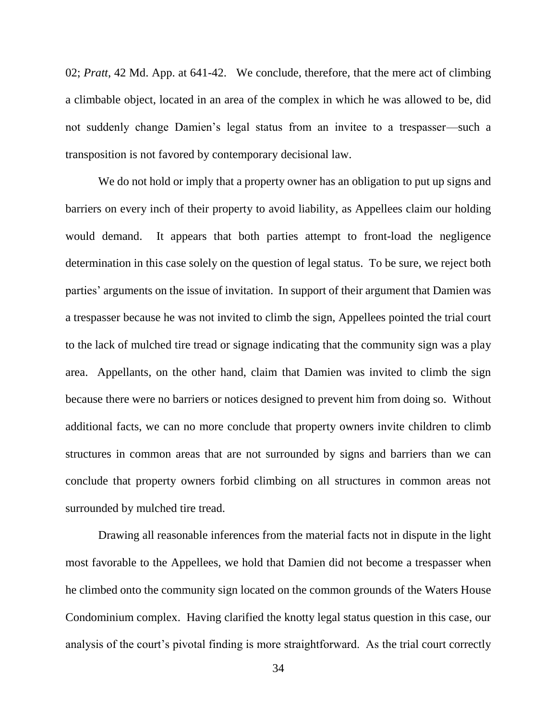02; *Pratt*, 42 Md. App. at 641-42. We conclude, therefore, that the mere act of climbing a climbable object, located in an area of the complex in which he was allowed to be, did not suddenly change Damien's legal status from an invitee to a trespasser—such a transposition is not favored by contemporary decisional law.

We do not hold or imply that a property owner has an obligation to put up signs and barriers on every inch of their property to avoid liability, as Appellees claim our holding would demand. It appears that both parties attempt to front-load the negligence determination in this case solely on the question of legal status. To be sure, we reject both parties' arguments on the issue of invitation. In support of their argument that Damien was a trespasser because he was not invited to climb the sign, Appellees pointed the trial court to the lack of mulched tire tread or signage indicating that the community sign was a play area. Appellants, on the other hand, claim that Damien was invited to climb the sign because there were no barriers or notices designed to prevent him from doing so. Without additional facts, we can no more conclude that property owners invite children to climb structures in common areas that are not surrounded by signs and barriers than we can conclude that property owners forbid climbing on all structures in common areas not surrounded by mulched tire tread.

Drawing all reasonable inferences from the material facts not in dispute in the light most favorable to the Appellees, we hold that Damien did not become a trespasser when he climbed onto the community sign located on the common grounds of the Waters House Condominium complex. Having clarified the knotty legal status question in this case, our analysis of the court's pivotal finding is more straightforward. As the trial court correctly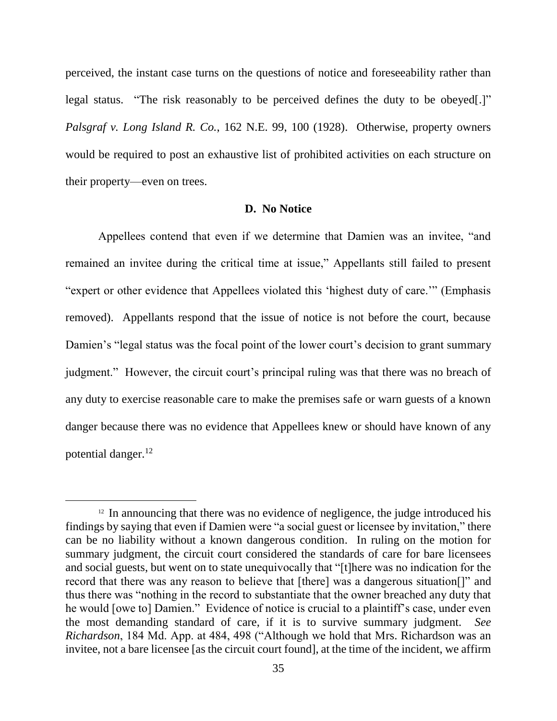perceived, the instant case turns on the questions of notice and foreseeability rather than legal status. "The risk reasonably to be perceived defines the duty to be obeyed[.]" *Palsgraf v. Long Island R. Co.*, 162 N.E. 99, 100 (1928). Otherwise, property owners would be required to post an exhaustive list of prohibited activities on each structure on their property—even on trees.

### **D. No Notice**

Appellees contend that even if we determine that Damien was an invitee, "and remained an invitee during the critical time at issue," Appellants still failed to present "expert or other evidence that Appellees violated this 'highest duty of care.'" (Emphasis removed). Appellants respond that the issue of notice is not before the court, because Damien's "legal status was the focal point of the lower court's decision to grant summary judgment." However, the circuit court's principal ruling was that there was no breach of any duty to exercise reasonable care to make the premises safe or warn guests of a known danger because there was no evidence that Appellees knew or should have known of any potential danger.<sup>12</sup>

 $12$  In announcing that there was no evidence of negligence, the judge introduced his findings by saying that even if Damien were "a social guest or licensee by invitation," there can be no liability without a known dangerous condition. In ruling on the motion for summary judgment, the circuit court considered the standards of care for bare licensees and social guests, but went on to state unequivocally that "[t]here was no indication for the record that there was any reason to believe that [there] was a dangerous situation[]" and thus there was "nothing in the record to substantiate that the owner breached any duty that he would [owe to] Damien." Evidence of notice is crucial to a plaintiff's case, under even the most demanding standard of care, if it is to survive summary judgment. *See Richardson*, 184 Md. App. at 484, 498 ("Although we hold that Mrs. Richardson was an invitee, not a bare licensee [as the circuit court found], at the time of the incident, we affirm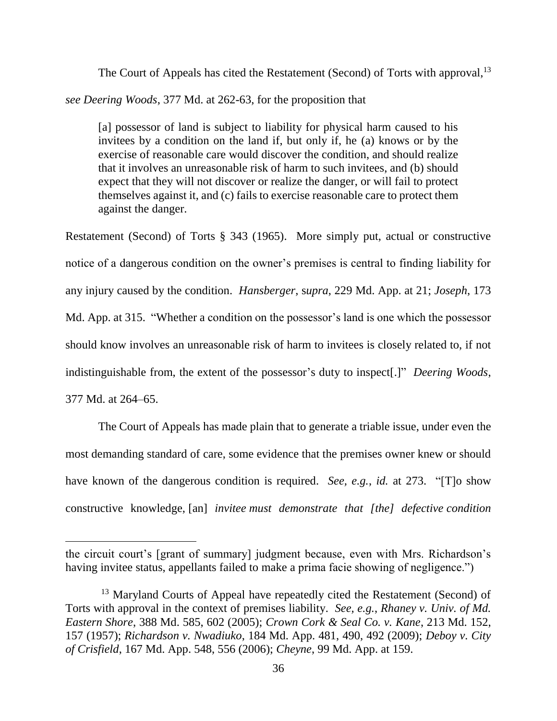The Court of Appeals has cited the Restatement (Second) of Torts with approval,<sup>13</sup>

*see Deering Woods*, 377 Md. at 262-63, for the proposition that

[a] possessor of land is subject to liability for physical harm caused to his invitees by a condition on the land if, but only if, he (a) knows or by the exercise of reasonable care would discover the condition, and should realize that it involves an unreasonable risk of harm to such invitees, and (b) should expect that they will not discover or realize the danger, or will fail to protect themselves against it, and (c) fails to exercise reasonable care to protect them against the danger.

Restatement (Second) of Torts § 343 (1965). More simply put, actual or constructive notice of a dangerous condition on the owner's premises is central to finding liability for any injury caused by the condition. *Hansberger*, s*upra*, 229 Md. App. at 21; *Joseph*, 173 Md. App. at 315. "Whether a condition on the possessor's land is one which the possessor should know involves an unreasonable risk of harm to invitees is closely related to, if not indistinguishable from, the extent of the possessor's duty to inspect[.]" *Deering Woods*, 377 Md. at 264–65.

The Court of Appeals has made plain that to generate a triable issue, under even the most demanding standard of care, some evidence that the premises owner knew or should have known of the dangerous condition is required. *See, e.g.*, *id.* at 273. "[T]o show constructive knowledge, [an] *invitee must demonstrate that [the] defective condition* 

the circuit court's [grant of summary] judgment because, even with Mrs. Richardson's having invitee status, appellants failed to make a prima facie showing of negligence.")

<sup>&</sup>lt;sup>13</sup> Maryland Courts of Appeal have repeatedly cited the Restatement (Second) of Torts with approval in the context of premises liability. *See, e.g.*, *Rhaney v. Univ. of Md. Eastern Shore*, 388 Md. 585, 602 (2005); *Crown Cork & Seal Co. v. Kane*, 213 Md. 152, 157 (1957); *Richardson v. Nwadiuko*, 184 Md. App. 481, 490, 492 (2009); *Deboy v. City of Crisfield*, 167 Md. App. 548, 556 (2006); *Cheyne*, 99 Md. App. at 159.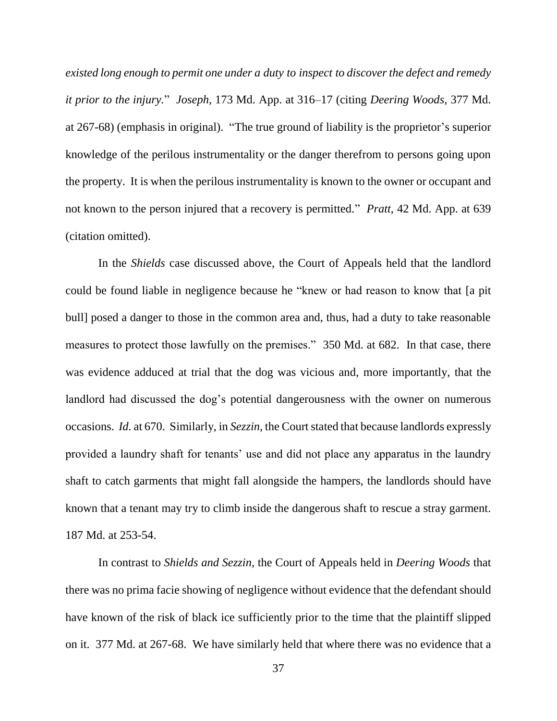*existed long enough to permit one under a duty to inspect to discover the defect and remedy it prior to the injury.*" *Joseph*, 173 Md. App. at 316–17 (citing *Deering Woods*, 377 Md. at 267-68) (emphasis in original). "The true ground of liability is the proprietor's superior knowledge of the perilous instrumentality or the danger therefrom to persons going upon the property. It is when the perilous instrumentality is known to the owner or occupant and not known to the person injured that a recovery is permitted." *Pratt*, 42 Md. App. at 639 (citation omitted).

In the *Shields* case discussed above, the Court of Appeals held that the landlord could be found liable in negligence because he "knew or had reason to know that [a pit bull] posed a danger to those in the common area and, thus, had a duty to take reasonable measures to protect those lawfully on the premises." 350 Md. at 682. In that case, there was evidence adduced at trial that the dog was vicious and, more importantly, that the landlord had discussed the dog's potential dangerousness with the owner on numerous occasions. *Id.* at 670. Similarly, in *Sezzin*, the Court stated that because landlords expressly provided a laundry shaft for tenants' use and did not place any apparatus in the laundry shaft to catch garments that might fall alongside the hampers, the landlords should have known that a tenant may try to climb inside the dangerous shaft to rescue a stray garment. 187 Md. at 253-54.

In contrast to *Shields and Sezzin*, the Court of Appeals held in *Deering Woods* that there was no prima facie showing of negligence without evidence that the defendant should have known of the risk of black ice sufficiently prior to the time that the plaintiff slipped on it. 377 Md. at 267-68. We have similarly held that where there was no evidence that a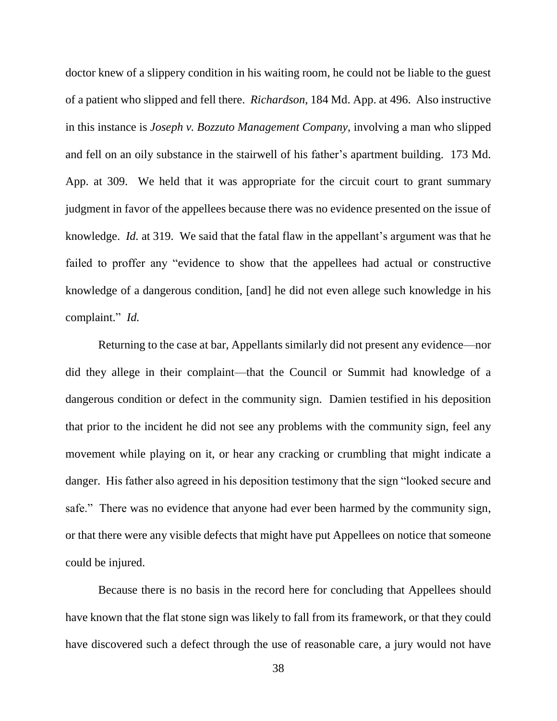doctor knew of a slippery condition in his waiting room, he could not be liable to the guest of a patient who slipped and fell there. *Richardson*, 184 Md. App. at 496. Also instructive in this instance is *Joseph v. Bozzuto Management Company*, involving a man who slipped and fell on an oily substance in the stairwell of his father's apartment building. 173 Md. App. at 309. We held that it was appropriate for the circuit court to grant summary judgment in favor of the appellees because there was no evidence presented on the issue of knowledge. *Id.* at 319. We said that the fatal flaw in the appellant's argument was that he failed to proffer any "evidence to show that the appellees had actual or constructive knowledge of a dangerous condition, [and] he did not even allege such knowledge in his complaint." *Id.*

Returning to the case at bar, Appellants similarly did not present any evidence—nor did they allege in their complaint—that the Council or Summit had knowledge of a dangerous condition or defect in the community sign. Damien testified in his deposition that prior to the incident he did not see any problems with the community sign, feel any movement while playing on it, or hear any cracking or crumbling that might indicate a danger. His father also agreed in his deposition testimony that the sign "looked secure and safe." There was no evidence that anyone had ever been harmed by the community sign, or that there were any visible defects that might have put Appellees on notice that someone could be injured.

Because there is no basis in the record here for concluding that Appellees should have known that the flat stone sign was likely to fall from its framework, or that they could have discovered such a defect through the use of reasonable care, a jury would not have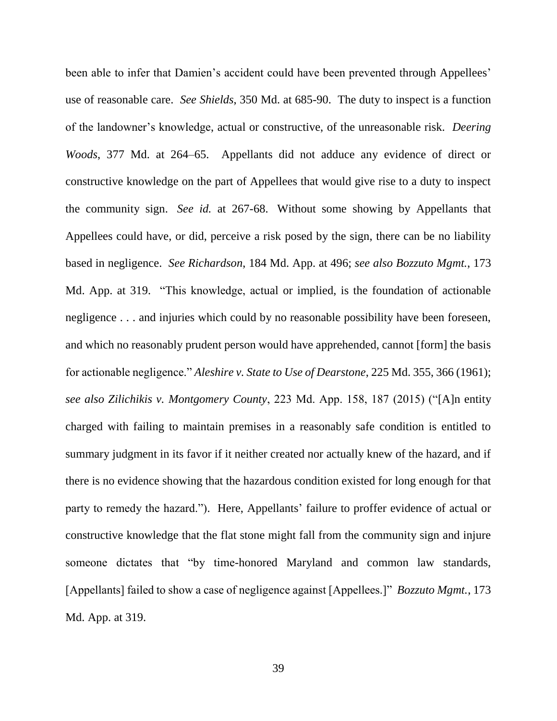been able to infer that Damien's accident could have been prevented through Appellees' use of reasonable care. *See Shields*, 350 Md. at 685-90. The duty to inspect is a function of the landowner's knowledge, actual or constructive, of the unreasonable risk. *Deering Woods*, 377 Md. at 264–65. Appellants did not adduce any evidence of direct or constructive knowledge on the part of Appellees that would give rise to a duty to inspect the community sign. *See id.* at 267-68. Without some showing by Appellants that Appellees could have, or did, perceive a risk posed by the sign, there can be no liability based in negligence. *See Richardson*, 184 Md. App. at 496; *see also Bozzuto Mgmt.*, 173 Md. App. at 319. "This knowledge, actual or implied, is the foundation of actionable negligence . . . and injuries which could by no reasonable possibility have been foreseen, and which no reasonably prudent person would have apprehended, cannot [form] the basis for actionable negligence." *Aleshire v. State to Use of Dearstone*, 225 Md. 355, 366 (1961); *see also Zilichikis v. Montgomery County*, 223 Md. App. 158, 187 (2015) ("[A]n entity charged with failing to maintain premises in a reasonably safe condition is entitled to summary judgment in its favor if it neither created nor actually knew of the hazard, and if there is no evidence showing that the hazardous condition existed for long enough for that party to remedy the hazard."). Here, Appellants' failure to proffer evidence of actual or constructive knowledge that the flat stone might fall from the community sign and injure someone dictates that "by time-honored Maryland and common law standards, [Appellants] failed to show a case of negligence against [Appellees.]" *Bozzuto Mgmt.*, 173 Md. App. at 319.